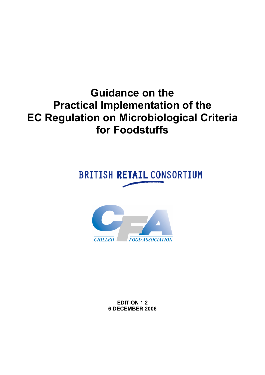## <span id="page-0-0"></span>**Guidance on the Practical Implementation of the EC Regulation on Microbiological Criteria for Foodstuffs**

## **BRITISH RETAIL CONSORTIUM**



**EDITION 1.2 6 DECEMBER 2006**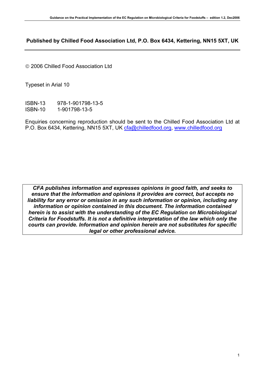## **Published by Chilled Food Association Ltd, P.O. Box 6434, Kettering, NN15 5XT, UK**

© 2006 Chilled Food Association Ltd

Typeset in Arial 10

ISBN-13 978-1-901798-13-5 ISBN-10 1-901798-13-5

Enquiries concerning reproduction should be sent to the Chilled Food Association Ltd at P.O. Box 6434, Kettering, NN15 5XT, UK [cfa@chilledfood.org](mailto:cfa@chilledfood.org), [www.chilledfood.org](http://www.chilledfood.org/)

*CFA publishes information and expresses opinions in good faith, and seeks to ensure that the information and opinions it provides are correct, but accepts no liability for any error or omission in any such information or opinion, including any information or opinion contained in this document. The information contained herein is to assist with the understanding of the EC Regulation on Microbiological Criteria for Foodstuffs. It is not a definitive interpretation of the law which only the courts can provide. Information and opinion herein are not substitutes for specific legal or other professional advice.*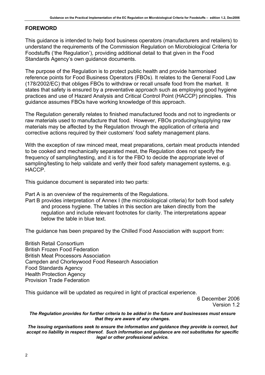## **FOREWORD**

This guidance is intended to help food business operators (manufacturers and retailers) to understand the requirements of the Commission Regulation on Microbiological Criteria for Foodstuffs ('the Regulation'), providing additional detail to that given in the Food Standards Agency's own guidance documents.

The purpose of the Regulation is to protect public health and provide harmonised reference points for Food Business Operators (FBOs). It relates to the General Food Law (178/2002/EC) that obliges FBOs to withdraw or recall unsafe food from the market. It states that safety is ensured by a preventative approach such as employing good hygiene practices and use of Hazard Analysis and Critical Control Point (HACCP) principles. This guidance assumes FBOs have working knowledge of this approach.

The Regulation generally relates to finished manufactured foods and not to ingredients or raw materials used to manufacture that food. However, FBOs producing/supplying raw materials may be affected by the Regulation through the application of criteria and corrective actions required by their customers' food safety management plans.

With the exception of raw minced meat, meat preparations, certain meat products intended to be cooked and mechanically separated meat, the Regulation does not specify the frequency of sampling/testing, and it is for the FBO to decide the appropriate level of sampling/testing to help validate and verify their food safety management systems, e.g. HACCP.

This guidance document is separated into two parts:

Part A is an overview of the requirements of the Regulations.

[Part B provides interpretation of Annex I \(the microbiological criteria\) for both food safety](#page-11-0)  [and process hygiene. The tables in this section are taken directly from the](#page-11-0)  [regulation and include relevant footnotes for clarity. The interpretations appear](#page-11-0)  [below the table in blue text.](#page-11-0)

The guidance has been prepared by the Chilled Food Association with support from:

British Retail Consortium British Frozen Food Federation British Meat Processors Association Campden and Chorleywood Food Research Association Food Standards Agency Health Protection Agency Provision Trade Federation

This guidance will be updated as required in light of practical experience.

6 December 2006 Version 1.2

*The Regulation provides for further criteria to be added in the future and businesses must ensure that they are aware of any changes.* 

*The issuing organisations seek to ensure the information and guidance they provide is correct, but accept no liability in respect thereof. Such information and guidance are not substitutes for specific legal or other professional advice.*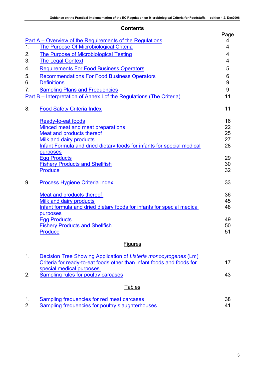## **Contents**

|    |                                                                                                                                                                                                  | Page                       |
|----|--------------------------------------------------------------------------------------------------------------------------------------------------------------------------------------------------|----------------------------|
| 1. | Part A – Overview of the Requirements of the Regulations                                                                                                                                         | 4                          |
|    | The Purpose Of Microbiological Criteria                                                                                                                                                          | 4                          |
| 2. | <b>The Purpose of Microbiological Testing</b>                                                                                                                                                    | 4                          |
| 3. | <b>The Legal Context</b>                                                                                                                                                                         | 4                          |
| 4. | <b>Requirements For Food Business Operators</b>                                                                                                                                                  | 5                          |
| 5. | <b>Recommendations For Food Business Operators</b>                                                                                                                                               | 6                          |
| 6. | <b>Definitions</b>                                                                                                                                                                               | 9                          |
| 7. | <b>Sampling Plans and Frequencies</b>                                                                                                                                                            | 9                          |
|    | Part B – Interpretation of Annex I of the Regulations (The Criteria)                                                                                                                             | 11                         |
| 8. | <b>Food Safety Criteria Index</b>                                                                                                                                                                | 11                         |
|    | Ready-to-eat foods<br>Minced meat and meat preparations<br>Meat and products thereof<br><b>Milk and dairy products</b><br>Infant Formula and dried dietary foods for infants for special medical | 16<br>22<br>25<br>27<br>28 |
|    | purposes<br><b>Egg Products</b><br><b>Fishery Products and Shellfish</b><br><b>Produce</b>                                                                                                       | 29<br>30<br>32             |
| 9. | Process Hygiene Criteria Index                                                                                                                                                                   | 33                         |
|    | Meat and products thereof<br><b>Milk and dairy products</b><br>Infant formula and dried dietary foods for infants for special medical<br>purposes                                                | 36<br>45<br>48             |
|    | <b>Egg Products</b><br><b>Fishery Products and Shellfish</b><br><b>Produce</b>                                                                                                                   | 49<br>50<br>51             |
|    | <b>Figures</b>                                                                                                                                                                                   |                            |

|    | Decision Tree Showing Application of Listeria monocytogenes (Lm)      |    |
|----|-----------------------------------------------------------------------|----|
|    | Criteria for ready-to-eat foods other than infant foods and foods for | 17 |
| 2. | special medical purposes<br>Sampling rules for poultry carcases       | 43 |
|    | <b>Tables</b>                                                         |    |

| Sampling frequencies for red meat carcases       |  |
|--------------------------------------------------|--|
| Sampling frequencies for poultry slaughterhouses |  |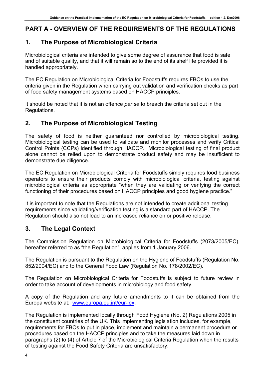## <span id="page-4-0"></span>**PART A - OVERVIEW OF THE REQUIREMENTS OF THE REGULATIONS**

## **1. The Purpose of Microbiological Criteria**

Microbiological criteria are intended to give some degree of assurance that food is safe and of suitable quality, and that it will remain so to the end of its shelf life provided it is handled appropriately.

The EC Regulation on Microbiological Criteria for Foodstuffs requires FBOs to use the criteria given in the Regulation when carrying out validation and verification checks as part of food safety management systems based on HACCP principles.

It should be noted that it is not an offence *per se* to breach the criteria set out in the Regulations.

## **2. The Purpose of Microbiological Testing**

The safety of food is neither guaranteed nor controlled by microbiological testing. Microbiological testing can be used to validate and monitor processes and verify Critical Control Points (CCPs) identified through HACCP. Microbiological testing of final product alone cannot be relied upon to demonstrate product safety and may be insufficient to demonstrate due diligence.

The EC Regulation on Microbiological Criteria for Foodstuffs simply requires food business operators to ensure their products comply with microbiological criteria, testing against microbiological criteria as appropriate "when they are validating or verifying the correct functioning of their procedures based on HACCP principles and good hygiene practice."

It is important to note that the Regulations are not intended to create additional testing requirements since validating/verification testing is a standard part of HACCP. The Regulation should also not lead to an increased reliance on or positive release.

## **3. The Legal Context**

The Commission Regulation on Microbiological Criteria for Foodstuffs (2073/2005/EC), hereafter referred to as "the Regulation", applies from 1 January 2006.

The Regulation is pursuant to the Regulation on the Hygiene of Foodstuffs (Regulation No. 852/2004/EC) and to the General Food Law (Regulation No. 178/2002/EC).

The Regulation on Microbiological Criteria for Foodstuffs is subject to future review in order to take account of developments in microbiology and food safety.

A copy of the Regulation and any future amendments to it can be obtained from the Europa website at: [www.europa.eu.int/eur-lex](http://www.europa.eu.int/eur-lex).

The Regulation is implemented locally through Food Hygiene (No. 2) Regulations 2005 in the constituent countries of the UK. This implementing legislation includes, for example, requirements for FBOs to put in place, implement and maintain a permanent procedure or procedures based on the HACCP principles and to take the measures laid down in paragraphs (2) to (4) of Article 7 of the Microbiological Criteria Regulation when the results of testing against the Food Safety Criteria are unsatisfactory.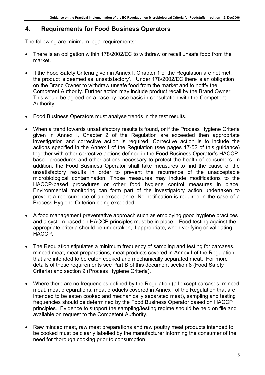## <span id="page-5-0"></span>**4. Requirements for Food Business Operators**

The following are minimum legal requirements:

- There is an obligation within 178/2002/EC to withdraw or recall unsafe food from the market.
- If the Food Safety Criteria given in Annex I, Chapter 1 of the Regulation are not met, the product is deemed as 'unsatisfactory'. Under 178/2002/EC there is an obligation on the Brand Owner to withdraw unsafe food from the market and to notify the Competent Authority. Further action may include product recall by the Brand Owner. This would be agreed on a case by case basis in consultation with the Competent Authority.
- Food Business Operators must analyse trends in the test results.
- When a trend towards unsatisfactory results is found, or if the Process Hygiene Criteria given in Annex I, Chapter 2 of the Regulation are exceeded then appropriate investigation and corrective action is required. Corrective action is to include the actions specified in the Annex I of the Regulation (see pages 17-52 of this guidance) together with other corrective actions defined in the Food Business Operator's HACCPbased procedures and other actions necessary to protect the health of consumers. In addition, the Food Business Operator shall take measures to find the cause of the unsatisfactory results in order to prevent the recurrence of the unacceptable microbiological contamination. Those measures may include modifications to the HACCP-based procedures or other food hygiene control measures in place. Environmental monitoring can form part of the investigatory action undertaken to prevent a reoccurrence of an exceedance. No notification is required in the case of a Process Hygiene Criterion being exceeded.
- A food management preventative approach such as employing good hygiene practices and a system based on HACCP principles must be in place. Food testing against the appropriate criteria should be undertaken, if appropriate, when verifying or validating HACCP.
- The Regulation stipulates a minimum frequency of sampling and testing for carcases, minced meat, meat preparations, meat products covered in Annex I of the Regulation that are intended to be eaten cooked and mechanically separated meat. For more details of these requirements see Part B of this document section 8 (Food Safety Criteria) and section 9 (Process Hygiene Criteria).
- Where there are no frequencies defined by the Regulation (all except carcases, minced meat, meat preparations, meat products covered in Annex I of the Regulation that are intended to be eaten cooked and mechanically separated meat), sampling and testing frequencies should be determined by the Food Business Operator based on HACCP principles. Evidence to support the sampling/testing regime should be held on file and available on request to the Competent Authority.
- Raw minced meat, raw meat preparations and raw poultry meat products intended to be cooked must be clearly labelled by the manufacturer informing the consumer of the need for thorough cooking prior to consumption.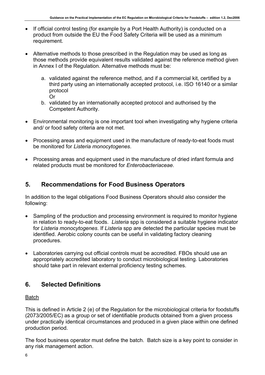- <span id="page-6-0"></span>• If official control testing (for example by a Port Health Authority) is conducted on a product from outside the EU the Food Safety Criteria will be used as a minimum requirement.
- Alternative methods to those prescribed in the Regulation may be used as long as those methods provide equivalent results validated against the reference method given in Annex I of the Regulation. Alternative methods must be:
	- a. validated against the reference method, and if a commercial kit, certified by a third party using an internationally accepted protocol, i.e. ISO 16140 or a similar protocol
		- Or
	- b. validated by an internationally accepted protocol and authorised by the Competent Authority.
- Environmental monitoring is one important tool when investigating why hygiene criteria and/ or food safety criteria are not met.
- Processing areas and equipment used in the manufacture of ready-to-eat foods must be monitored for *Listeria monocytogenes*.
- Processing areas and equipment used in the manufacture of dried infant formula and related products must be monitored for *Enterobacteriaceae*.

## **5. Recommendations for Food Business Operators**

In addition to the legal obligations Food Business Operators should also consider the following:

- Sampling of the production and processing environment is required to monitor hygiene in relation to ready-to-eat foods. *Listeria* spp is considered a suitable hygiene indicator for *Listeria monocytogenes*. If *Listeria* spp are detected the particular species must be identified. Aerobic colony counts can be useful in validating factory cleaning procedures.
- Laboratories carrying out official controls must be accredited. FBOs should use an appropriately accredited laboratory to conduct microbiological testing. Laboratories should take part in relevant external proficiency testing schemes.

## **6. Selected Definitions**

## Batch

This is defined in Article 2 (e) of the Regulation for the microbiological criteria for foodstuffs (2073/2005/EC) as a group or set of identifiable products obtained from a given process under practically identical circumstances and produced in a given place within one defined production period.

The food business operator must define the batch. Batch size is a key point to consider in any risk management action.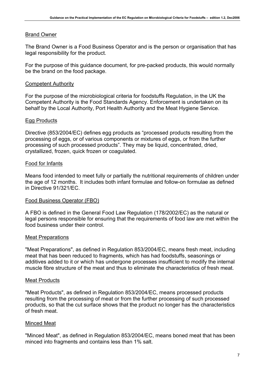## <span id="page-7-0"></span>Brand Owner

The Brand Owner is a Food Business Operator and is the person or organisation that has legal responsibility for the product.

For the purpose of this guidance document, for pre-packed products, this would normally be the brand on the food package.

## Competent Authority

For the purpose of the microbiological criteria for foodstuffs Regulation, in the UK the Competent Authority is the Food Standards Agency. Enforcement is undertaken on its behalf by the Local Authority, Port Health Authority and the Meat Hygiene Service.

## Egg Products

Directive (853/2004/EC) defines egg products as "processed products resulting from the processing of eggs, or of various components or mixtures of eggs, or from the further processing of such processed products". They may be liquid, concentrated, dried, crystallized, frozen, quick frozen or coagulated.

## Food for Infants

Means food intended to meet fully or partially the nutritional requirements of children under the age of 12 months. It includes both infant formulae and follow-on formulae as defined in Directive 91/321/EC.

## Food Business Operator (FBO)

A FBO is defined in the General Food Law Regulation (178/2002/EC) as the natural or legal persons responsible for ensuring that the requirements of food law are met within the food business under their control.

## Meat Preparations

"Meat Preparations", as defined in Regulation 853/2004/EC, means fresh meat, including meat that has been reduced to fragments, which has had foodstuffs, seasonings or additives added to it or which has undergone processes insufficient to modify the internal muscle fibre structure of the meat and thus to eliminate the characteristics of fresh meat.

## Meat Products

"Meat Products", as defined in Regulation 853/2004/EC, means processed products resulting from the processing of meat or from the further processing of such processed products, so that the cut surface shows that the product no longer has the characteristics of fresh meat.

## Minced Meat

"Minced Meat", as defined in Regulation 853/2004/EC, means boned meat that has been minced into fragments and contains less than 1% salt.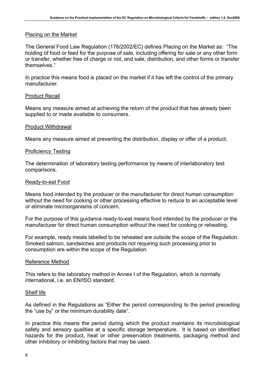## Placing on the Market

The General Food Law Regulation (178/2002/EC) defines Placing on the Market as: "The holding of food or feed for the purpose of sale, including offering for sale or any other form or transfer, whether free of charge or not, and sale, distribution, and other forms or transfer themselves."

In practice this means food is placed on the market if it has left the control of the primary manufacturer.

## Product Recall

Means any measure aimed at achieving the return of the product that has already been supplied to or made available to consumers.

### Product Withdrawal

Means any measure aimed at preventing the distribution, display or offer of a product.

## Proficiency Testing

The determination of laboratory testing performance by means of interlaboratory test comparisons.

## Ready-to-eat Food

Means food intended by the producer or the manufacturer for direct human consumption without the need for cooking or other processing effective to reduce to an acceptable level or eliminate microorganisms of concern.

For the purpose of this guidance ready-to-eat means food intended by the producer or the manufacturer for direct human consumption without the need for cooking or reheating.

For example, ready meals labelled to be reheated are outside the scope of the Regulation. Smoked salmon, sandwiches and products not requiring such processing prior to consumption are within the scope of the Regulation.

### Reference Method

This refers to the laboratory method in Annex I of the Regulation, which is normally international, i.e. an EN/ISO standard.

### Shelf life

As defined in the Regulations as "Either the period corresponding to the period preceding the "use by" or the minimum durability date".

In practice this means the period during which the product maintains its microbiological safety and sensory qualities at a specific storage temperature. It is based on identified hazards for the product, heat or other preservation treatments, packaging method and other inhibitory or inhibiting factors that may be used.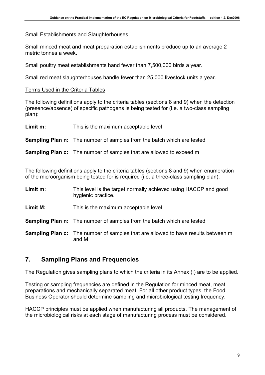## <span id="page-9-0"></span>Small Establishments and Slaughterhouses

Small minced meat and meat preparation establishments produce up to an average 2 metric tonnes a week.

Small poultry meat establishments hand fewer than 7,500,000 birds a year.

Small red meat slaughterhouses handle fewer than 25,000 livestock units a year.

## Terms Used in the Criteria Tables

The following definitions apply to the criteria tables (sections 8 and 9) when the detection (presence/absence) of specific pathogens is being tested for (i.e. a two-class sampling plan):

**Limit m:** This is the maximum acceptable level

**Sampling Plan n:** The number of samples from the batch which are tested

## **Sampling Plan c:** The number of samples that are allowed to exceed m

The following definitions apply to the criteria tables (sections 8 and 9) when enumeration of the microorganism being tested for is required (i.e. a three-class sampling plan):

| Limit m: | This level is the target normally achieved using HACCP and good |
|----------|-----------------------------------------------------------------|
|          | hygienic practice.                                              |
|          |                                                                 |

**Limit M:** This is the maximum acceptable level

**Sampling Plan n:** The number of samples from the batch which are tested

**Sampling Plan c:** The number of samples that are allowed to have results between m and M

## **7. Sampling Plans and Frequencies**

The Regulation gives sampling plans to which the criteria in its Annex (I) are to be applied.

Testing or sampling frequencies are defined in the Regulation for minced meat, meat preparations and mechanically separated meat. For all other product types, the Food Business Operator should determine sampling and microbiological testing frequency.

HACCP principles must be applied when manufacturing all products. The management of the microbiological risks at each stage of manufacturing process must be considered.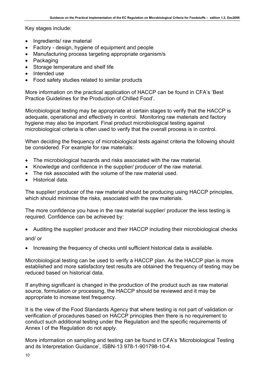Key stages include:

- Ingredients/ raw material
- Factory design, hygiene of equipment and people
- Manufacturing process targeting appropriate organism/s
- Packaging
- Storage temperature and shelf life
- Intended use
- Food safety studies related to similar products

More information on the practical application of HACCP can be found in CFA's 'Best Practice Guidelines for the Production of Chilled Food'.

Microbiological testing may be appropriate at certain stages to verify that the HACCP is adequate, operational and effectively in control. Monitoring raw materials and factory hygiene may also be important. Final product microbiological testing against microbiological criteria is often used to verify that the overall process is in control.

When deciding the frequency of microbiological tests against criteria the following should be considered. For example for raw materials:

- The microbiological hazards and risks associated with the raw material.
- Knowledge and confidence in the supplier/ producer of the raw material.
- The risk associated with the volume of the raw material used.
- Historical data.

The supplier/ producer of the raw material should be producing using HACCP principles, which should minimise the risks, associated with the raw materials.

The more confidence you have in the raw material supplier/ producer the less testing is required. Confidence can be achieved by:

• Auditing the supplier/ producer and their HACCP including their microbiological checks

and/ or

• Increasing the frequency of checks until sufficient historical data is available.

Microbiological testing can be used to verify a HACCP plan. As the HACCP plan is more established and more satisfactory test results are obtained the frequency of testing may be reduced based on historical data.

If anything significant is changed in the production of the product such as raw material source, formulation or processing, the HACCP should be reviewed and it may be appropriate to increase test frequency.

It is the view of the Food Standards Agency that where testing is not part of validation or verification of procedures based on HACCP principles then there is no requirement to conduct such additional testing under the Regulation and the specific requirements of Annex I of the Regulation do not apply.

More information on sampling and testing can be found in CFA's 'Microbiological Testing and its Interpretation Guidance', ISBN-13 978-1-901798-10-4.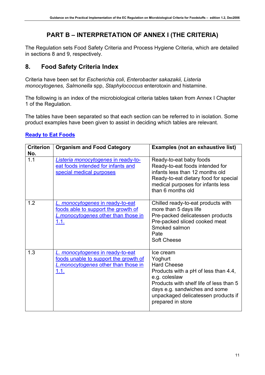## **PART B – INTERPRETATION OF ANNEX I (THE CRITERIA)**

<span id="page-11-0"></span>The Regulation sets Food Safety Criteria and Process Hygiene Criteria, which are detailed in sections 8 and 9, respectively.

## **8. Food Safety Criteria Index**

Criteria have been set for *Escherichia coli*, *Enterobacter sakazakii, Listeria monocytogenes, Salmonella* spp, *Staphylococcus* enterotoxin and histamine.

The following is an index of the microbiological criteria tables taken from Annex I Chapter 1 of the Regulation.

The tables have been separated so that each section can be referred to in isolation. Some product examples have been given to assist in deciding which tables are relevant.

| <b>Criterion</b><br>No. | <b>Organism and Food Category</b>                                                                                               | <b>Examples (not an exhaustive list)</b>                                                                                                                                                                                                    |
|-------------------------|---------------------------------------------------------------------------------------------------------------------------------|---------------------------------------------------------------------------------------------------------------------------------------------------------------------------------------------------------------------------------------------|
| 1.1                     | Listeria monocytogenes in ready-to-<br>eat foods intended for infants and<br>special medical purposes                           | Ready-to-eat baby foods<br>Ready-to-eat foods intended for<br>infants less than 12 months old<br>Ready-to-eat dietary food for special<br>medical purposes for infants less<br>than 6 months old                                            |
| 1.2                     | L. monocytogenes in ready-to-eat<br>foods able to support the growth of<br>L. monocytogenes other than those in<br><u>1.1.</u>  | Chilled ready-to-eat products with<br>more than 5 days life<br>Pre-packed delicatessen products<br>Pre-packed sliced cooked meat<br>Smoked salmon<br>Pate<br><b>Soft Cheese</b>                                                             |
| 1.3                     | L. monocytogenes in ready-to-eat<br>foods unable to support the growth of<br><b>L.monocytogenes other than those in</b><br>1.1. | Ice cream<br>Yoghurt<br><b>Hard Cheese</b><br>Products with a pH of less than 4.4,<br>e.g. coleslaw<br>Products with shelf life of less than 5<br>days e.g. sandwiches and some<br>unpackaged delicatessen products if<br>prepared in store |

## **[Ready to Eat Foods](#page-16-0)**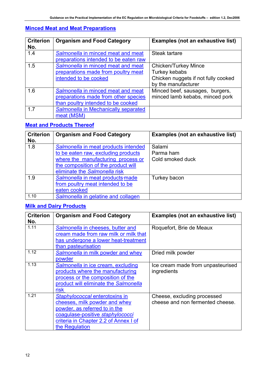## **[Minced Meat and Meat Preparations](#page-0-0)**

| <b>Criterion</b><br>No. | <b>Organism and Food Category</b>                                                                                | Examples (not an exhaustive list)                                                                          |
|-------------------------|------------------------------------------------------------------------------------------------------------------|------------------------------------------------------------------------------------------------------------|
| 1.4                     | Salmonella in minced meat and meat<br>preparations intended to be eaten raw                                      | Steak tartare                                                                                              |
| 1.5                     | Salmonella in minced meat and meat<br>preparations made from poultry meat<br>intended to be cooked               | <b>Chicken/Turkey Mince</b><br>Turkey kebabs<br>Chicken nuggets if not fully cooked<br>by the manufacturer |
| 1.6                     | Salmonella in minced meat and meat<br>preparations made from other species<br>than poultry intended to be cooked | Minced beef, sausages, burgers,<br>minced lamb kebabs, minced pork                                         |
| 1.7                     | Salmonella in Mechanically separated<br>meat (MSM)                                                               |                                                                                                            |

## **[Meat and Products Thereof](#page-0-0)**

| <b>Criterion</b><br>No. | <b>Organism and Food Category</b>                                                                                                                                                         | Examples (not an exhaustive list)       |
|-------------------------|-------------------------------------------------------------------------------------------------------------------------------------------------------------------------------------------|-----------------------------------------|
| 1.8                     | Salmonella in meat products intended<br>to be eaten raw, excluding products<br>where the manufacturing process or<br>the composition of the product will<br>eliminate the Salmonella risk | Salami<br>Parma ham<br>Cold smoked duck |
| 1.9                     | Salmonella in meat products made<br>from poultry meat intended to be<br>eaten cooked                                                                                                      | Turkey bacon                            |
| 1.10                    | Salmonella in gelatine and collagen                                                                                                                                                       |                                         |

## **[Milk and Dairy Products](#page-0-0)**

| <b>Criterion</b><br>No. | <b>Organism and Food Category</b>                                                                                                                                                               | <b>Examples (not an exhaustive list)</b>                        |
|-------------------------|-------------------------------------------------------------------------------------------------------------------------------------------------------------------------------------------------|-----------------------------------------------------------------|
| 1.11                    | Salmonella in cheeses, butter and<br>cream made from raw milk or milk that<br>has undergone a lower heat-treatment<br>than pasteurisation                                                       | Roquefort, Brie de Meaux                                        |
| 1.12                    | Salmonella in milk powder and whey<br>powder                                                                                                                                                    | Dried milk powder                                               |
| 1.13                    | Salmonella in ice cream, excluding<br>products where the manufacturing<br>process or the composition of the<br>product will eliminate the Salmonella<br>risk                                    | Ice cream made from unpasteurised<br>ingredients                |
| 1.21                    | Staphylococcal enterotoxins in<br>cheeses, milk powder and whey<br>powder, as referred to in the<br>coagulase-positive staphylococci<br>criteria in Chapter 2.2 of Annex I of<br>the Regulation | Cheese, excluding processed<br>cheese and non fermented cheese. |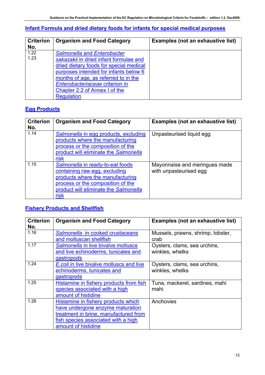## **[Infant Formula and dried dietary foods for infants for special medical purposes](#page-0-0)**

| <b>Criterion</b> | <b>Organism and Food Category</b>       | <b>Examples (not an exhaustive list)</b> |
|------------------|-----------------------------------------|------------------------------------------|
| No.              |                                         |                                          |
| 1.22             | <b>Salmonella and Enterobacter</b>      |                                          |
| 1.23             | sakazakii in dried infant formulae and  |                                          |
|                  | dried dietary foods for special medical |                                          |
|                  | purposes intended for infants below 6   |                                          |
|                  | months of age, as referred to in the    |                                          |
|                  | Enterobacteriaceae criterion in         |                                          |
|                  | Chapter 2.2 of Annex I of the           |                                          |
|                  | <b>Regulation</b>                       |                                          |

## **[Egg Products](#page-0-0)**

| <b>Criterion</b><br>No. | <b>Organism and Food Category</b>                                                                                                                                                           | <b>Examples (not an exhaustive list)</b>                |
|-------------------------|---------------------------------------------------------------------------------------------------------------------------------------------------------------------------------------------|---------------------------------------------------------|
| 1.14                    | Salmonella in egg products, excluding<br>products where the manufacturing<br>process or the composition of the<br>product will eliminate the Salmonella<br><b>risk</b>                      | Unpasteurised liquid egg                                |
| 1.15                    | Salmonella in ready-to-eat foods<br>containing raw egg, excluding<br>products where the manufacturing<br>process or the composition of the<br>product will eliminate the Salmonella<br>risk | Mayonnaise and meringues made<br>with unpasteurised egg |

## **[Fishery Products and Shellfish](#page-0-0)**

| <b>Criterion</b> | <b>Organism and Food Category</b>        | <b>Examples (not an exhaustive list)</b> |
|------------------|------------------------------------------|------------------------------------------|
| No.              |                                          |                                          |
| 1.16             | Salmonella in cooked crustaceans         | Mussels, prawns, shrimp, lobster,        |
|                  | and molluscan shellfish                  | crab                                     |
| 1.17             | Salmonella in live bivalve molluscs      | Oysters, clams, sea urchins,             |
|                  | and live echinoderms, tunicates and      | winkles, whelks                          |
|                  | gastropods                               |                                          |
| 1.24             | E.coli in live bivalve molluscs and live | Oysters, clams, sea urchins,             |
|                  | echinoderms, tunicates and               | winkles, whelks                          |
|                  | gastropods                               |                                          |
| 1.25             | Histamine in fishery products from fish  | Tuna, mackerel, sardines, mahi           |
|                  | species associated with a high           | mahi                                     |
|                  | amount of histidine                      |                                          |
| 1.26             | Histamine in fishery products which      | Anchovies                                |
|                  | have undergone enzyme maturation         |                                          |
|                  | treatment in brine, manufactured from    |                                          |
|                  | fish species associated with a high      |                                          |
|                  | amount of histidine                      |                                          |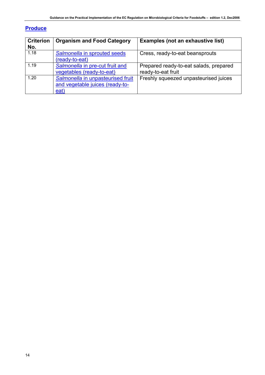## **[Produce](#page-0-0)**

| <b>Criterion</b><br>No. | <b>Organism and Food Category</b>                                            | Examples (not an exhaustive list)                            |
|-------------------------|------------------------------------------------------------------------------|--------------------------------------------------------------|
| 1.18                    | Salmonella in sprouted seeds<br>(ready-to-eat)                               | Cress, ready-to-eat beansprouts                              |
| 1.19                    | Salmonella in pre-cut fruit and<br>vegetables (ready-to-eat)                 | Prepared ready-to-eat salads, prepared<br>ready-to-eat fruit |
| 1.20                    | Salmonella in unpasteurised fruit<br>and vegetable juices (ready-to-<br>eat) | Freshly squeezed unpasteurised juices                        |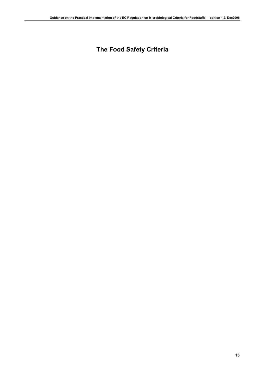## **The Food Safety Criteria**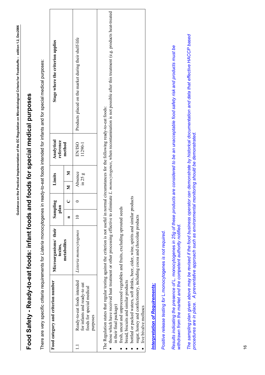# **s and foods for special medical purposes**  Food Safety - Ready-to-eat foods: infant foods and foods for special medical purposes **Food Safety - Ready-to-eat foods: infant food**

There are very specific criteria requirements for *Listeria* monocytogenes in ready-to-eat foods intended for infants and for special medical purposes: There are very specific criteria requirements for Listeria monocytogenes in ready-to-eat foods intended for infants and for special medical purposes:

<span id="page-16-0"></span>

| Food category and criterion number                                                                                                                                                                                                                                                             | Microorganisms/ their<br>toxins, | Sampling<br>$\frac{a}{b}$ | Ξ | Limits             | Analytical<br>reference     | Stage where the criterion applies                                                                                                                                                           |
|------------------------------------------------------------------------------------------------------------------------------------------------------------------------------------------------------------------------------------------------------------------------------------------------|----------------------------------|---------------------------|---|--------------------|-----------------------------|---------------------------------------------------------------------------------------------------------------------------------------------------------------------------------------------|
|                                                                                                                                                                                                                                                                                                | metabolites                      |                           |   | Σ<br>$\geq$        | method                      |                                                                                                                                                                                             |
| Ready-to-eat foods intended<br>for infants and ready-to eat<br>foods for special medical<br>purposes                                                                                                                                                                                           | Listeria monocytogenes           |                           |   | Absence<br>in 25 g | <b>EN/ISO</b><br>$1290 - 1$ | Products placed on the market during their shelf-life                                                                                                                                       |
| The Regulation states that regular testing against the criterion is not useful in normal circumstances for the following ready-to-eat foods:<br>fresh, uncut and unprocessed vegetables and fruits, excluding sprouted seeds<br>bread biscuits and similar products<br>in their final package) |                                  |                           |   |                    |                             | those which have received heat treatment or other processing effective to eliminate L. monocytogenes, when recontamination is not possible after this treatment (e.g. products heat-treated |

- bread, biscuits and similar products
- · bottled or packed waters, soft drinks, beer, cider, wine, spirits and similar products bottled or packed waters, soft drinks, beer, cider, wine, spirits and similar products
	- · sugar, honey and confectionery, including cocoa and chocolate products sugar, honey and confectionery, including cocoa and chocolate products
		- live bivalve molluscs live bivalve molluscs •

## **Interpretation of Requirements:** *Interpretation of Requirements:*

*Positive release testing for* L.monocytogenes *is not required.*  Positive release testing for L.monocytogenes is not required. Results indicating the presence of L. monocytogenes in 25g of these products are considered to be an unacceptable food safety risk and products must be *Results indicating the presence of* L. monocytogenes *in 25g of these products are considered to be an unacceptable food safety risk and products must be withdrawn from the market and the competent authority notified.*  withdrawn from the market and the competent authority notified.

*The sampling plan given above may be revised if the food business operator can demonstrate by historical documentation and data that effective HACCP based*  The sampling plan given above may be revised if the food business operator can demonstrate by historical documentation and data that effective HACCP based *procedures are in place. A preventative approach such as environmental monitoring should be demonstrated.* procedures are in place. A preventative approach such as environmental monitoring should be demonstrated.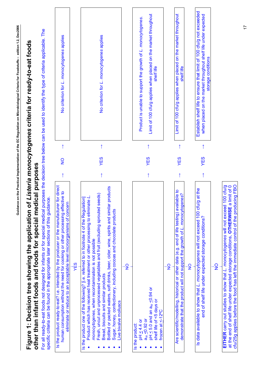<span id="page-17-0"></span>

|                                                                                                                                                                                                                                                                                                                                                                                                                                                                                                                                                                     |            |               |            | Guidance on the Practical Implementation of the EC Regulation on Microbiological Criteria for Foodstuffs – edition 1.2, Dec2006                             |  |
|---------------------------------------------------------------------------------------------------------------------------------------------------------------------------------------------------------------------------------------------------------------------------------------------------------------------------------------------------------------------------------------------------------------------------------------------------------------------------------------------------------------------------------------------------------------------|------------|---------------|------------|-------------------------------------------------------------------------------------------------------------------------------------------------------------|--|
| Figure 1: Decision tree showing the application of Listeria monocytogenes criteria for ready-to-eat foods                                                                                                                                                                                                                                                                                                                                                                                                                                                           |            |               |            |                                                                                                                                                             |  |
| For all ready-to-eat foods not designed for infants or for special medical purposes the decision tree below can be used to identify the type of criteria applicable. The<br>other than infant foods and foods for special medical purposes<br>specific criteria can be found in the appropriate later sections of this guidance.                                                                                                                                                                                                                                    |            |               |            |                                                                                                                                                             |  |
| is the product ready-to-eat? i.e. intended by the producer or the manufacturer for direct<br>human consumption without the need for cooking or other processing effective to<br>eliminate or reduce to an acceptable level microorganisms of concern                                                                                                                                                                                                                                                                                                                | $\uparrow$ | $\frac{1}{2}$ |            | No criterion for L. monocytogenes applies                                                                                                                   |  |
| YES                                                                                                                                                                                                                                                                                                                                                                                                                                                                                                                                                                 |            |               |            |                                                                                                                                                             |  |
| Bottled or packed waters, soft drinks, beer, cider, wine, spirits and similar products<br>seeds)<br>Product which has received heat treatment or other processing to eliminate L.<br>Is the product one of the following? [i.e. referred to in footnote 4 of the Regulation]<br>Fresh, uncut and unprocessed vegetables and fruit (excluding sprouted<br>Sugar, honey, confectionery, including coccoas and chocolate products<br>monocytogenes, when recontamination is not possible<br>Bread, biscuits and similar products<br>Live bivalve molluscs<br>$\bullet$ |            | YES           | $\uparrow$ | No criterion for L. monocytogenes applies                                                                                                                   |  |
| $\frac{1}{2}$                                                                                                                                                                                                                                                                                                                                                                                                                                                                                                                                                       |            |               |            |                                                                                                                                                             |  |
| $pH \leq 5.0$ and an a <sub>w</sub> $\leq 0.94$ or<br>shelf life of <5 days or<br>frozen at $\leq$ -12°C<br>$a_{\text{W}}$ $\leq$ 0.92 or<br>$PH \leq 4.4$ Or<br>Is the product:                                                                                                                                                                                                                                                                                                                                                                                    | $\uparrow$ | YES           | $\uparrow$ | Limit of 100 cfu/g applies when placed on the market throughout<br>Product is unable to support the growth of L. monocytogenes.<br>shelf life               |  |
| $\frac{1}{2}$                                                                                                                                                                                                                                                                                                                                                                                                                                                                                                                                                       |            |               |            |                                                                                                                                                             |  |
| Are scientific/modelling, historical or other data (e.g. end of life testing) available to<br>demonstrate that the product will not support the growth of L. monocytogenes?                                                                                                                                                                                                                                                                                                                                                                                         |            | YES           | $\uparrow$ | Limit of 100 cfu/g applies when placed on the market throughout<br>shelf life                                                                               |  |
| $\frac{1}{2}$                                                                                                                                                                                                                                                                                                                                                                                                                                                                                                                                                       |            |               |            |                                                                                                                                                             |  |
| Is data available to show that L. monocytogenes will not exceed 100 cfu/g at the<br>end of shelf life under expected storage conditions?                                                                                                                                                                                                                                                                                                                                                                                                                            | $\uparrow$ | YES           | $\uparrow$ | Establish shelf life to ensure that limit of 100 cfu/g not exceeded<br>when placed on the market throughout shelf life under expected<br>storage conditions |  |
| $\frac{1}{2}$                                                                                                                                                                                                                                                                                                                                                                                                                                                                                                                                                       |            |               |            |                                                                                                                                                             |  |
| cfu/25g applies before the food has left the immediate control of the producing FBO<br>a limit of 0<br>EITHER carry out studies to show that L. monocytogenes will not exceed 100 cfu/g<br>at the end of shelf life under expected storage conditions, OTHERWISE                                                                                                                                                                                                                                                                                                    |            |               |            |                                                                                                                                                             |  |

17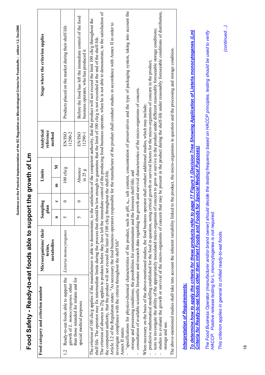<span id="page-18-0"></span>

| Food Safety - Ready-to-eat foods able to support the growth of Lm                                                                                                                                                                                                                                                                                                                                                          |                                 |                           |                |                                |   |                          |                                                                                                                                                                                                                                                                                                                                                                                                                                                                                                                                                                                                                            |  |
|----------------------------------------------------------------------------------------------------------------------------------------------------------------------------------------------------------------------------------------------------------------------------------------------------------------------------------------------------------------------------------------------------------------------------|---------------------------------|---------------------------|----------------|--------------------------------|---|--------------------------|----------------------------------------------------------------------------------------------------------------------------------------------------------------------------------------------------------------------------------------------------------------------------------------------------------------------------------------------------------------------------------------------------------------------------------------------------------------------------------------------------------------------------------------------------------------------------------------------------------------------------|--|
| Food category and criterion number                                                                                                                                                                                                                                                                                                                                                                                         | Microorganisms/their<br>toxins, | Sampling<br>$\frac{a}{2}$ | $\blacksquare$ | Limits                         |   | Analytical<br>reference  | Stage where the criterion applies                                                                                                                                                                                                                                                                                                                                                                                                                                                                                                                                                                                          |  |
|                                                                                                                                                                                                                                                                                                                                                                                                                            | metabolites                     | $\blacksquare$            | ں              | $\mathbf{E}$                   | Σ | method                   |                                                                                                                                                                                                                                                                                                                                                                                                                                                                                                                                                                                                                            |  |
| Ready-to-eat foods able to support the<br>growth of L. monocytogenes, other<br>1.2                                                                                                                                                                                                                                                                                                                                         | Listeria monocytogenes          | 5                         | $\bullet$      | $100 \text{ ch}\prime\text{g}$ |   | 11290-2<br><b>EN/ISO</b> | Products placed on the market during their shelf-life                                                                                                                                                                                                                                                                                                                                                                                                                                                                                                                                                                      |  |
| than those intended for infants and for<br>special medical purposes                                                                                                                                                                                                                                                                                                                                                        |                                 | 5                         | $\circ$        | Absence<br>in $25g$            |   | <b>EN/ISO</b><br>11290-1 | Before the food has left the immediate control of the food<br>business operator, who has produced it                                                                                                                                                                                                                                                                                                                                                                                                                                                                                                                       |  |
| the competent authority, that the product will not exceed the limit of 100 cfu/g throughout the shelf-life.<br>The criterion of 100 cfu/g applies if the manufacturer is able to demonstrate, to the<br>shelf-life. The operator may fix intermediate limits during the process that should b<br>investigate compliance with the criteria throughout the shelf life"                                                       |                                 |                           |                |                                |   |                          | The criterion of absence in 25g applies to products before they have left the immediate control of the producing food business operator, when he is not able to demonstrate, to the satisfaction of<br>satisfaction of the competent authority, that the product will not exceed the limit 100 cfu/g throughout the<br>Article 3.2 of the Regulation states: "As necessary the food business operators responsible for the manufacture of the product shall conduct studies in accordance with Annex II in order to<br>e low enough to guarantee that the limit of 100 cfu/g is not exceeded at the end of the shelf-life. |  |
| consultation of available scientific literature and research data regarding the growth and survival characteristics of the micro-organisms of concern.<br>storage and processing conditions, the possibilities for contamination and the foreseen shelf-life; and<br>Annex II states:                                                                                                                                      |                                 |                           |                |                                |   |                          | "specifications for physico-chemical characteristics of the product, such as pH, a <sub>w</sub> , salt content, concentration of preservatives and the type of packaging system, taking into account the                                                                                                                                                                                                                                                                                                                                                                                                                   |  |
| predictive mathematical modelling established for the food in question, using critical growth or survival factors for the micro-organisms of concern in the product;<br>When necessary on the basis of the above-mentioned studies, the food business operator shall conduct additional studies, which may include:<br>studies to evaluate the growth or survival of the micro-organisms of concern th<br>storage and use. |                                 |                           |                |                                |   |                          | at may be present in the product during the shelf-life under reasonably foreseeable conditions of distribution,<br>tests to investigate the ability of the appropriately inoculated micro-organism of concern to grow or survive in the product under different reasonably foreseeable storage conditions;                                                                                                                                                                                                                                                                                                                 |  |
| The above-mentioned studies shall take into account the inherent variability linked                                                                                                                                                                                                                                                                                                                                        |                                 |                           |                |                                |   |                          | to the product, the micro-organisms in question and the processing and storage condition.                                                                                                                                                                                                                                                                                                                                                                                                                                                                                                                                  |  |
| <b>Interpretation of Requirements:</b>                                                                                                                                                                                                                                                                                                                                                                                     |                                 |                           |                |                                |   |                          |                                                                                                                                                                                                                                                                                                                                                                                                                                                                                                                                                                                                                            |  |
| <u> Criteria for Ready-to-eat foods other than Infant Foods and Foods for Special Medical Purposes)</u>                                                                                                                                                                                                                                                                                                                    |                                 |                           |                |                                |   |                          | To determine how to apply the criteria for these products refer to page 17 Figure 1 (Decision Tree Showing Application of Listeria monocytogenes (Lm)                                                                                                                                                                                                                                                                                                                                                                                                                                                                      |  |
| The Food Business Operator (manufacturer and/or brand owner) should<br>HACCP. Positive release testing for L.monocytogenes is not required.                                                                                                                                                                                                                                                                                |                                 |                           |                |                                |   |                          | decide the testing frequency based on HACCP principles, testing should be used to verify                                                                                                                                                                                                                                                                                                                                                                                                                                                                                                                                   |  |
| こくりょうしょう こうしょう こうじょう こうこう こうこう こうごう こうごう こうしょう こうこう                                                                                                                                                                                                                                                                                                                                                                        |                                 |                           |                |                                |   |                          |                                                                                                                                                                                                                                                                                                                                                                                                                                                                                                                                                                                                                            |  |

**Guidance on the Practical Implementation of the EC Regulation on Microbiological Criteria for Foodstuffs – edition 1.2, Dec2006** 

Guidance on the Practical Implementation of the EC Regulation on Microbiological Criteria for Foodstuffs - edition 1.2, Dec2006

*This criterion applies in general to chilled ready-to-eat foods.*  This criterion applies in general to chilled ready-to-eat foods.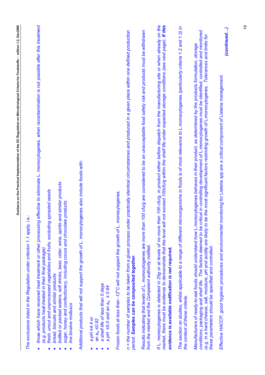| Guidance on the Practical Implementation of the EC Regulation on Microbiological Criteria for Foodstuffs – edition 1.2, Dec2006<br>those which have received heat treatment or other processing effective to eliminate L. monocytogenes, when recontamination is not possible after this treatment<br>If L. monocytogenes is detected in 25g or at levels of no more than 100 cfu/g, in product either before dispatch from the manufacturing site or when already on the<br>market, there must be evidence to demonstrate that the level will not exceed 100cfu/g within the shelf life under expected storage conditions (see next page). If this<br>The section on studies, whilst applicable to a range of different microorganisms in foods is of most relevance to L.monocytogenes (particularly criteria 1.2 and 1.3) in<br>n = the number of samples to be taken from a given process under practically identical circumstances and produced in a given place within one defined production<br>n 100 cfu/g are considered to be an unacceptable food safety risk and products must be withdrawn<br>Additional products that will not support the growth of L. monocytogenes also include foods with:<br>and similar products<br>fresh, uncut and unprocessed vegetables and fruits, excluding sprouted seeds<br>monocytogenes.<br>sugar, honey and confectionery, including cocoa and chocolate products<br>i.e.:<br>The exclusions listed in the Regulation under criterion 1.1 apply,<br>bottled or packed waters, soft drinks, beer, cider, wine, spirits<br>Results indicating that levels of L. monocytogenes are more than<br>Frozen foods at less than -12°C will not support the growth of L.<br>from the market and the Competent authority notified.<br>evidence is available notification is not required<br>(e.g. products heat-treated in their final package)<br>period. Samples can be composited together.<br>bread, biscuits and similar products<br>a shelf life of less than 5 days<br>a pH $\leq$ 5.0 and an a <sub>w</sub> $\leq$ 0.94<br>the context of these criteria.<br>live bivalve molluscs<br>a pH ≤4.4 or<br>an a <sub>w</sub> $\leq$ 0.92<br>$\bullet$ |
|----------------------------------------------------------------------------------------------------------------------------------------------------------------------------------------------------------------------------------------------------------------------------------------------------------------------------------------------------------------------------------------------------------------------------------------------------------------------------------------------------------------------------------------------------------------------------------------------------------------------------------------------------------------------------------------------------------------------------------------------------------------------------------------------------------------------------------------------------------------------------------------------------------------------------------------------------------------------------------------------------------------------------------------------------------------------------------------------------------------------------------------------------------------------------------------------------------------------------------------------------------------------------------------------------------------------------------------------------------------------------------------------------------------------------------------------------------------------------------------------------------------------------------------------------------------------------------------------------------------------------------------------------------------------------------------------------------------------------------------------------------------------------------------------------------------------------------------------------------------------------------------------------------------------------------------------------------------------------------------------------------------------------------------------------------------------------------------------------------------------------------------------------------------------------------------------|
| conditions, packaging and shelf life. The factors deemed to be critical in controlling development of L.monocytogenes must be identified, controlled and monitored<br>be the most significant factors restricting growth of L.monocytogenes. Tolerances and limits for<br>Manufacturers of ready-to-eat foods should understand how L.monocytogenes behaves in their product, as determined by the products formulation, storage<br>(e.g. in a hard cheese, salt, moisture, pH and acidity are likely to<br>these parameters should be specified and controlled.                                                                                                                                                                                                                                                                                                                                                                                                                                                                                                                                                                                                                                                                                                                                                                                                                                                                                                                                                                                                                                                                                                                                                                                                                                                                                                                                                                                                                                                                                                                                                                                                                             |
| (continued)<br>monitoring for Listeria spp are a critical component of Listeria management.<br>Effective HACCP, good hygienic procedures and environmental                                                                                                                                                                                                                                                                                                                                                                                                                                                                                                                                                                                                                                                                                                                                                                                                                                                                                                                                                                                                                                                                                                                                                                                                                                                                                                                                                                                                                                                                                                                                                                                                                                                                                                                                                                                                                                                                                                                                                                                                                                   |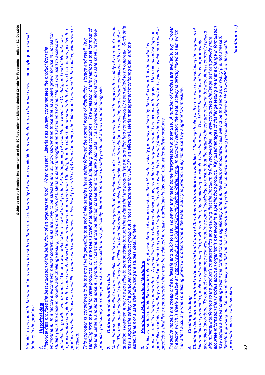Lm *be found to be present in a ready-to-eat food there are is a hierarchy of options available to manufacturers to determine how* L.monocytogenes *would*  Should Lm be found to be present in a ready-to-eat food there are is a hierarchy of options available to manufacturers to determine how L.monocytogenes would behave in the product: *behave in the product:* 

## **Historical data** *1. Historical data*

*product remains safe over its shelf life. Under such circumstances, a low level (e.g. <10 cfu/g) detection during shelf life should not need to be notified, withdrawn or*  product remains safe over its shelf life. Under such circumstances, a low level (e.g. <10 cfu/g) detection during shelf life should not need to be notified, withdrawn or representative sample from the same batch showed levels remained at no more than 100 cfu/g, then the data help demonstrate that from a Listeria perspective the *representative sample from the same batch showed levels remained at no more than 100 cfu/g, then the data help demonstrate that from a* Listeria *perspective the environment. In a factory environment, natural contaminants are likely to be stressed and will grow slower than those that have been grown for use in inoculation*  environment. In a factory environment, natural contaminants are likely to be stressed and will grow slower than those that have been grown for use in inoculation potential for growth. For example, if Listeria was detected in a cooked meat product at the beginning of shelf life at a level of <10 cfu/g, and end of life data on a *potential for growth. For example, if* Listeria *was detected in a cooked meat product at the beginning of shelf life at a level of <10 cfu/g, and end of life data on a*  studies (as is the case in models and challenge testing). Data on the levels of Listeria present throughout and at the end of shelf life can be used to assess its *studies (as is the case in models and challenge testing). Data on the levels of* Listeria *present throughout and at the end of shelf life can be used to assess its*  Historical data provides the best indication of the behaviour of an organism in food. When present, Listeria has usually contaminated the product from the *Historical data provides the best indication of the behaviour of an organism in food. When present,* Listeria *has usually contaminated the product from the recalled.*  recalled

sampling from the shelf for retail products) or have been stored at temperatures closely simulating those conditions. The limitation of this method is that for most of *sampling from the shelf for retail products) or have been stored at temperatures closely simulating those conditions. The limitation of this method is that for most of the time* Listeria *should be absent in product; it can therefore be difficult, or take time to acquire such data. It also provides no information on safe shelf life for new*  the time Listeria should be absent in product; it can therefore be difficult, or take time to acquire such data. It also provides no information on safe shelf life for new *This approach is considered to be the most valid providing that end of life samples have either followed the normal route of distribution, storage and retail, (e.g.*  This approach is considered to be the most valid providing that end of life samples have either followed the normal route of distribution, storage and retail, (e.g. *products, particularly if a new product is introduced that is significantly different from those usually produced at the manufacturing site.*  products, particularly if a new product is introduced that is significantly different from those usually produced at the manufacturing site.

## **Outbreak and scientific data** *2. Outbreak and scientific data*  $\mathbf{a}$

Much information is available in the scientific literature researching growth of organisms in foods. These data may be used to support the safety of a product over its *Much information is available in the scientific literature researching growth of organisms in foods. These data may be used to support the safety of a product over its*  question. However, it may be possible to demonstrate through these data that the product type in question has not previously been linked to an outbreak. Such data *question. However, it may be possible to demonstrate through these data that the product type in question has not previously been linked to an outbreak. Such data*  life. The main disadvantage is that it may be difficult to find information that closely resembles the formulation, processing and storage conditions of the product in *life. The main disadvantage is that it may be difficult to find information that closely resembles the formulation, processing and storage conditions of the product in may support the safety of a particular product/product group but is not a replacement for HACCP, an effective* Listeria *management/monitoring plan, and the*  may support the safety of a particular product/product group but is not a replacement for HACCP, an effective Listeria management/monitoring plan, and the *establishment of a safe shelf life using the studies detailed here.*  establishment of a safe shelf life using the studies detailed here.

## **Predictive Mathematical Modelling** *3. Predictive Mathematical Modelling* ങ്

predictive models is that they are developed based on growth of organisms in broths, which is frequently faster than growth in real food systems, which can result in *predictive models is that they are developed based on growth of organisms in broths, which is frequently faster than growth in real food systems, which can result in*  question, and its storage temperature. A prediction is then obtained showing how, over time the organism would be expected to grow. The main disadvantage of *question, and its storage temperature. A prediction is then obtained showing how, over time the organism would be expected to grow. The main disadvantage of*  Predictive models enable the user to enter key physicochemical factors such as the pH, water activity (primarily defined by the salt content) of the product in *Predictive models enable the user to enter key physicochemical factors such as the pH, water activity (primarily defined by the salt content) of the product in*  predicted shelf lives being shorter than may be achieved in reality, particularly in low acid, high water activity products. *predicted shelf lives being shorter than may be achieved in reality, particularly in low acid, high water activity products.* 

*Predictive models are cheap or free, failsafe and quick to use. However, they need some interpretation in their use. A number of models are available, e.g. Growth*  Growth Predictor, which is freely available at: http://www.ifr.ac.uk/Safety/GrowthPredictor/default.html. In Growth Predictor, the water activity is directly linked to salt, which *Predictor, which is freely available at: <http://www.ifr.ac.uk/Safety/GrowthPredictor/default.html>. In Growth Predictor, the water activity is directly linked to salt, which*  Predictive models are cheap or free, failsafe and quick to use. However, they need some interpretation in their use. A number of models are available, e.g. *can affect accuracy when predicting growth in products where the water activity is predominantly influenced by sugar or low moisture.*  can affect accuracy when predicting growth in products where the water activity is predominantly influenced by sugar or low moisture.

## **Challenge testing** *4. Challenge testing*  $\vec{r}$

*accurate information than models about an organism's behaviour in a specific food product. Key disadvantages of challenge testing are that a change in formulation*  accurate information than models about an organism's behaviour in a specific food product. Key disadvantages of challenge testing are that a change in formulation Challenge tests are not required to be carried out if any of the above information is available. Challenge testing is the process of inoculating the organism of *Challenge tests are not required to be carried out if any of the above information is available. Challenge testing is the process of inoculating the organism of accredited laboratory. To conduct a challenge test well requires expert knowledge to ensure that the strains chosen are relevant, the inoculum is correctly applied*  accredited laboratory. To conduct a challenge test well requires expert knowledge to ensure that the strains chosen are relevant, the inoculum is correctly applied *may require a repeat challenge test if the formulations are significantly different, the status of inoculated cells will not be the same as in reality (i.e. not stressed)*  with minimal interference to the product's characteristics and ensuring that the inoculum is fully recoverable. A well-conducted challenge test can provide more *with minimal interference to the product's characteristics and ensuring that the inoculum is fully recoverable. A well-conducted challenge test can provide more*  may require a repeat challenge test if the formulations are significantly different, the status of inoculated cells will not be the same as in reality (i.e. not stressed) *therefore growing quicker than in reality and that the test assumes that the product is contaminated during production, whereas HACCP/GMP are designed to*  interest into the product in question and observing its growth over time, by monitoring at selected time intervals. This MUST be conducted in an appropriately *interest into the product in question and observing its growth over time, by monitoring at selected time intervals. This MUST be conducted in an appropriately*  therefore growing quicker than in reality and that the test assumes that the product is contaminated during production, whereas HACCP/GMP are designed to prevent/minimise contamination. *prevent/minimise contamination.*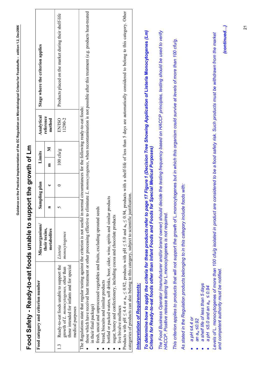<span id="page-21-0"></span>

| Food category and criterion number                                                                                                                                                                                                   | Microorganisms/              |                | Sampling plan                 | Limits                   | Analytical                                                 | Stage where the criterion applies                                                                                                                                                                                |
|--------------------------------------------------------------------------------------------------------------------------------------------------------------------------------------------------------------------------------------|------------------------------|----------------|-------------------------------|--------------------------|------------------------------------------------------------|------------------------------------------------------------------------------------------------------------------------------------------------------------------------------------------------------------------|
|                                                                                                                                                                                                                                      | their toxins,<br>metabolites | $\blacksquare$ | ں                             | Ξ                        | reference<br>method<br>Σ                                   |                                                                                                                                                                                                                  |
| Ready-to-eat foods unable to support the<br>those intended for infants and for special<br>growth of L. monocytogenes, other than<br>medical purposes<br>1.3                                                                          | monocytogenes<br>Listeria    | 5              | $\circ$                       | $100~{\rm chy}\,{\rm g}$ | 11290-2<br><b>EN/ISO</b>                                   | Products placed on the market during their shelf-life                                                                                                                                                            |
| The Regulations state that regular testing against the criterion is not useful in r<br>in their final package)                                                                                                                       |                              |                |                               |                          | normal circumstances for the following ready-to-eat foods: | those which have received heat treatment or other processing effective to eliminate L. monocytogenes, when recontamination is not possible after this treatment (e.g. products heat-treated                      |
| fresh, uncut and unprocessed vegetables and fruits, excluding sprouted seeds<br>bread, biscuits and similar products                                                                                                                 |                              |                |                               |                          |                                                            |                                                                                                                                                                                                                  |
| bottled or packed waters, soft drinks, beer, cider, wine, spirits and similar<br>sugar, honey and confectionery, including cocoa and chocolate products<br>live bivalve molluscs                                                     |                              | oroducts       |                               |                          |                                                            |                                                                                                                                                                                                                  |
| categories of products can also belong to this category, subject to scientific justification                                                                                                                                         |                              |                |                               |                          |                                                            | Products with pH $\leq$ 4.4 or $a_w \leq 0.92$ , products with pH $\leq$ 5.0 and $a_w \leq 0.94$ , products with a shelf-life of less than 5 days are automatically considered to belong to this category. Other |
| <b>Interpretation of Requirements:</b>                                                                                                                                                                                               |                              |                |                               |                          |                                                            |                                                                                                                                                                                                                  |
| Criteria for Ready-to-eat foods other than Infant Foods and Foods<br>To determine how to apply the criteria for these products refer to                                                                                              |                              |                | for Special Medical Purposes) |                          |                                                            | page 17 Figure 1 (Decision Tree Showing Application of Listeria Monocytogenes (Lm)                                                                                                                               |
| The Food Business Operator (manufacturer and/or brand owner) should decide the testing frequency based on HACCP principles, testing should be used to verify<br>HACCP. Positive release testing for L.monocytogenes is not required. |                              |                |                               |                          |                                                            |                                                                                                                                                                                                                  |
| This criterion applies to products that will not support the growth of L.monocytogenes but in which this organism could survive at levels of more than 100 cfu/g.                                                                    |                              |                |                               |                          |                                                            |                                                                                                                                                                                                                  |
| As stated in the Regulation products belonging to in this category include foods with:                                                                                                                                               |                              |                |                               |                          |                                                            |                                                                                                                                                                                                                  |
| a shelf life of less than 5 days<br>a pH $\leq$ 5.0 and an a <sub>w</sub> $\leq$ 0.94<br>a pH $\leq$ 4.4 or<br>an a <sub>w</sub> $\leq$ 0.92                                                                                         |                              |                |                               |                          |                                                            |                                                                                                                                                                                                                  |
| Levels of L. monocytogenes of more than 100 cfu/g isolated in product<br>and competent authority must be notified.                                                                                                                   |                              |                |                               |                          |                                                            | are considered to be a food safety risk. Such products must be withdrawn from the market                                                                                                                         |

# **Food Safety - Ready-to-eat foods unable to support the growth of Lm**  Food Safety - Ready-to-eat foods unable to support the growth of Lm

*(continued…)* (continued...)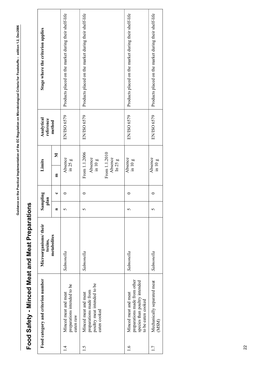<span id="page-22-0"></span>

| I                                        |
|------------------------------------------|
|                                          |
|                                          |
|                                          |
|                                          |
|                                          |
| i                                        |
|                                          |
|                                          |
|                                          |
|                                          |
|                                          |
| I                                        |
|                                          |
|                                          |
|                                          |
|                                          |
|                                          |
|                                          |
|                                          |
|                                          |
|                                          |
|                                          |
|                                          |
|                                          |
|                                          |
|                                          |
|                                          |
|                                          |
|                                          |
|                                          |
|                                          |
| Ì                                        |
|                                          |
|                                          |
|                                          |
|                                          |
|                                          |
|                                          |
|                                          |
|                                          |
|                                          |
|                                          |
|                                          |
|                                          |
|                                          |
|                                          |
| ו<br>ו                                   |
|                                          |
|                                          |
|                                          |
|                                          |
|                                          |
|                                          |
|                                          |
|                                          |
|                                          |
|                                          |
|                                          |
|                                          |
|                                          |
|                                          |
|                                          |
|                                          |
|                                          |
|                                          |
|                                          |
|                                          |
|                                          |
|                                          |
|                                          |
|                                          |
|                                          |
|                                          |
|                                          |
|                                          |
|                                          |
|                                          |
|                                          |
|                                          |
|                                          |
|                                          |
|                                          |
| ֖֖֖֖֖֖֚֚֚֚֚֚֚֚֚֚֚֚֚֚֚֚֚֚֚֚֡֬֡֡֡֡֡֬֓֡֡֬֝֬ |
|                                          |
|                                          |
| ć                                        |

# Food Safety - Minced Meat and Meat Preparations **Food Safety - Minced Meat and Meat Preparations**

| Products placed on the market during their shelf-life<br>Products placed on the market during their shelf-life |
|----------------------------------------------------------------------------------------------------------------|
|                                                                                                                |
|                                                                                                                |
|                                                                                                                |
|                                                                                                                |
|                                                                                                                |
| From 1.1.2010<br>Absence<br>$\ln 25 g$<br>$\sin 10 g$                                                          |
|                                                                                                                |
|                                                                                                                |
|                                                                                                                |
| eaten cooked                                                                                                   |
|                                                                                                                |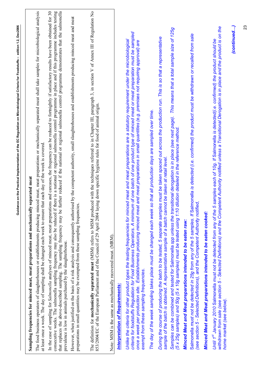| The definition for mechanically separated meat (MSM) refers to MSM produced with the techniques referred to in Chapter III, paragraph 3, in section V of Annex III of Regulation No<br>The food business operators of slaughterhouses or establishments producing minced meat, meat preparations or mechanically separated meat shall take samples for microbiological analysis<br>In the case of sampling for Salmonella analyses of minced meat, meat preparations and carcases, the frequency can be reduced to fortnightly if satisfactory results have been obtained for 30<br>consecutive weeks. The salmonella sampling frequency may also be reduced if there is a national or regional salmonella control programme in place and if this programme includes testing<br>further reduced if the national or regional salmonella control programme demonstrates that the salmonella<br>However, when justified on the basis of a risk analysis and consequently authorised by the competent authority, small slaughterhouses and establishments producing minced meat and meat<br>Samples can be combined and tested for Salmonella spp unless the transitional derogation is in place (see next page). This means that a total sample size of 125g<br>criteria for foodstuffs Regulation for Food Business Operators. A minimum of one batch of one product type of minced meat or meat preparation must be sampled<br>Salmonella must not be detected in 25g from any of the 5 samples. If Salmonella is detected (i.e. confirmed) the product must be withdrawn or recalled from sale<br>During the course of producing the batch to be tested, 5 separate samples must be taken spaced out across the production run. This is so that a representative<br>Unlike the criteria for other product types the testing frequencies for minced meat and meat preparations are a statutory requirement under the microbiological<br>once a week per production site. Establishments producing minced meat and meat preparations in small quantities (e.g. premises not requiring approval) are<br>853/2004/EC of the European Parliament and of the Council of 29 April 2004 laying down specific hygiene rules for food of animal origin.<br>so that all production days are sampled over time.<br>dilution detailed in the reference method.<br>at least once a week. The day of sampling shall be changed each week to ensure that each day of the week is covered.<br>sample of the batch is obtained. A representative sample of a batch cannot be taken at retail level.<br>Sampling frequencies for minced meat, meat preparations and mechanically separated meat<br>(see section 5 - Selected Definitions), and the Competent Authority notified,<br>preparations in small quantities may be exempted from these sampling frequenci<br>The day of the week sampling takes place must be changed each week<br>(5 x 25g samples) and 50g (5 x 10g samples) must be tested using 1:10<br>that replaces the above-described sampling. The sampling frequency may be<br>Minced Meat and Meat preparations intended to be eaten cooked:<br>Minced Meat and Meat preparations intended to be eaten raw:<br>Note: MSM is the same as mechanically recovered meat. (MRM).<br>prevalence is low in animals purchased by the slaughterhouse.<br>exempt from these sampling frequencies.<br><b>Interpretation of Requirements:</b> |
|------------------------------------------------------------------------------------------------------------------------------------------------------------------------------------------------------------------------------------------------------------------------------------------------------------------------------------------------------------------------------------------------------------------------------------------------------------------------------------------------------------------------------------------------------------------------------------------------------------------------------------------------------------------------------------------------------------------------------------------------------------------------------------------------------------------------------------------------------------------------------------------------------------------------------------------------------------------------------------------------------------------------------------------------------------------------------------------------------------------------------------------------------------------------------------------------------------------------------------------------------------------------------------------------------------------------------------------------------------------------------------------------------------------------------------------------------------------------------------------------------------------------------------------------------------------------------------------------------------------------------------------------------------------------------------------------------------------------------------------------------------------------------------------------------------------------------------------------------------------------------------------------------------------------------------------------------------------------------------------------------------------------------------------------------------------------------------------------------------------------------------------------------------------------------------------------------------------------------------------------------------------------------------------------------------------------------------------------------------------------------------------------------------------------------------------------------------------------------------------------------------------------------------------------------------------------------------------------------------------------------------------------------------------------------------------------------------------------------------------------------------------------------------------------------------------------------------------------------------------------------------------------------------------------------------------------------------------------------------------------------------------------------------------------------------------------------------------------------------------------------------------------------------------------------------------------------------------------------------------------------------------------------------------------------------------------------------------------------------------------------------------------------------------------------------|
| withdrawn from sale (see section 5 - Selected Definitions) and the Competent Authority notified unless a Transitional Derogation is in place and the product is on the<br>home market (see below).                                                                                                                                                                                                                                                                                                                                                                                                                                                                                                                                                                                                                                                                                                                                                                                                                                                                                                                                                                                                                                                                                                                                                                                                                                                                                                                                                                                                                                                                                                                                                                                                                                                                                                                                                                                                                                                                                                                                                                                                                                                                                                                                                                                                                                                                                                                                                                                                                                                                                                                                                                                                                                                                                                                                                                                                                                                                                                                                                                                                                                                                                                                                                                                                                                 |
|                                                                                                                                                                                                                                                                                                                                                                                                                                                                                                                                                                                                                                                                                                                                                                                                                                                                                                                                                                                                                                                                                                                                                                                                                                                                                                                                                                                                                                                                                                                                                                                                                                                                                                                                                                                                                                                                                                                                                                                                                                                                                                                                                                                                                                                                                                                                                                                                                                                                                                                                                                                                                                                                                                                                                                                                                                                                                                                                                                                                                                                                                                                                                                                                                                                                                                                                                                                                                                    |
|                                                                                                                                                                                                                                                                                                                                                                                                                                                                                                                                                                                                                                                                                                                                                                                                                                                                                                                                                                                                                                                                                                                                                                                                                                                                                                                                                                                                                                                                                                                                                                                                                                                                                                                                                                                                                                                                                                                                                                                                                                                                                                                                                                                                                                                                                                                                                                                                                                                                                                                                                                                                                                                                                                                                                                                                                                                                                                                                                                                                                                                                                                                                                                                                                                                                                                                                                                                                                                    |
| 5 samples each of 10g. If Salmonella is detected (i.e. confirmed) the product should be<br>Until 1st January 2010 Salmonella must not be detected from any of the                                                                                                                                                                                                                                                                                                                                                                                                                                                                                                                                                                                                                                                                                                                                                                                                                                                                                                                                                                                                                                                                                                                                                                                                                                                                                                                                                                                                                                                                                                                                                                                                                                                                                                                                                                                                                                                                                                                                                                                                                                                                                                                                                                                                                                                                                                                                                                                                                                                                                                                                                                                                                                                                                                                                                                                                                                                                                                                                                                                                                                                                                                                                                                                                                                                                  |
|                                                                                                                                                                                                                                                                                                                                                                                                                                                                                                                                                                                                                                                                                                                                                                                                                                                                                                                                                                                                                                                                                                                                                                                                                                                                                                                                                                                                                                                                                                                                                                                                                                                                                                                                                                                                                                                                                                                                                                                                                                                                                                                                                                                                                                                                                                                                                                                                                                                                                                                                                                                                                                                                                                                                                                                                                                                                                                                                                                                                                                                                                                                                                                                                                                                                                                                                                                                                                                    |
|                                                                                                                                                                                                                                                                                                                                                                                                                                                                                                                                                                                                                                                                                                                                                                                                                                                                                                                                                                                                                                                                                                                                                                                                                                                                                                                                                                                                                                                                                                                                                                                                                                                                                                                                                                                                                                                                                                                                                                                                                                                                                                                                                                                                                                                                                                                                                                                                                                                                                                                                                                                                                                                                                                                                                                                                                                                                                                                                                                                                                                                                                                                                                                                                                                                                                                                                                                                                                                    |
|                                                                                                                                                                                                                                                                                                                                                                                                                                                                                                                                                                                                                                                                                                                                                                                                                                                                                                                                                                                                                                                                                                                                                                                                                                                                                                                                                                                                                                                                                                                                                                                                                                                                                                                                                                                                                                                                                                                                                                                                                                                                                                                                                                                                                                                                                                                                                                                                                                                                                                                                                                                                                                                                                                                                                                                                                                                                                                                                                                                                                                                                                                                                                                                                                                                                                                                                                                                                                                    |
|                                                                                                                                                                                                                                                                                                                                                                                                                                                                                                                                                                                                                                                                                                                                                                                                                                                                                                                                                                                                                                                                                                                                                                                                                                                                                                                                                                                                                                                                                                                                                                                                                                                                                                                                                                                                                                                                                                                                                                                                                                                                                                                                                                                                                                                                                                                                                                                                                                                                                                                                                                                                                                                                                                                                                                                                                                                                                                                                                                                                                                                                                                                                                                                                                                                                                                                                                                                                                                    |
|                                                                                                                                                                                                                                                                                                                                                                                                                                                                                                                                                                                                                                                                                                                                                                                                                                                                                                                                                                                                                                                                                                                                                                                                                                                                                                                                                                                                                                                                                                                                                                                                                                                                                                                                                                                                                                                                                                                                                                                                                                                                                                                                                                                                                                                                                                                                                                                                                                                                                                                                                                                                                                                                                                                                                                                                                                                                                                                                                                                                                                                                                                                                                                                                                                                                                                                                                                                                                                    |
|                                                                                                                                                                                                                                                                                                                                                                                                                                                                                                                                                                                                                                                                                                                                                                                                                                                                                                                                                                                                                                                                                                                                                                                                                                                                                                                                                                                                                                                                                                                                                                                                                                                                                                                                                                                                                                                                                                                                                                                                                                                                                                                                                                                                                                                                                                                                                                                                                                                                                                                                                                                                                                                                                                                                                                                                                                                                                                                                                                                                                                                                                                                                                                                                                                                                                                                                                                                                                                    |
|                                                                                                                                                                                                                                                                                                                                                                                                                                                                                                                                                                                                                                                                                                                                                                                                                                                                                                                                                                                                                                                                                                                                                                                                                                                                                                                                                                                                                                                                                                                                                                                                                                                                                                                                                                                                                                                                                                                                                                                                                                                                                                                                                                                                                                                                                                                                                                                                                                                                                                                                                                                                                                                                                                                                                                                                                                                                                                                                                                                                                                                                                                                                                                                                                                                                                                                                                                                                                                    |
|                                                                                                                                                                                                                                                                                                                                                                                                                                                                                                                                                                                                                                                                                                                                                                                                                                                                                                                                                                                                                                                                                                                                                                                                                                                                                                                                                                                                                                                                                                                                                                                                                                                                                                                                                                                                                                                                                                                                                                                                                                                                                                                                                                                                                                                                                                                                                                                                                                                                                                                                                                                                                                                                                                                                                                                                                                                                                                                                                                                                                                                                                                                                                                                                                                                                                                                                                                                                                                    |
|                                                                                                                                                                                                                                                                                                                                                                                                                                                                                                                                                                                                                                                                                                                                                                                                                                                                                                                                                                                                                                                                                                                                                                                                                                                                                                                                                                                                                                                                                                                                                                                                                                                                                                                                                                                                                                                                                                                                                                                                                                                                                                                                                                                                                                                                                                                                                                                                                                                                                                                                                                                                                                                                                                                                                                                                                                                                                                                                                                                                                                                                                                                                                                                                                                                                                                                                                                                                                                    |
|                                                                                                                                                                                                                                                                                                                                                                                                                                                                                                                                                                                                                                                                                                                                                                                                                                                                                                                                                                                                                                                                                                                                                                                                                                                                                                                                                                                                                                                                                                                                                                                                                                                                                                                                                                                                                                                                                                                                                                                                                                                                                                                                                                                                                                                                                                                                                                                                                                                                                                                                                                                                                                                                                                                                                                                                                                                                                                                                                                                                                                                                                                                                                                                                                                                                                                                                                                                                                                    |
|                                                                                                                                                                                                                                                                                                                                                                                                                                                                                                                                                                                                                                                                                                                                                                                                                                                                                                                                                                                                                                                                                                                                                                                                                                                                                                                                                                                                                                                                                                                                                                                                                                                                                                                                                                                                                                                                                                                                                                                                                                                                                                                                                                                                                                                                                                                                                                                                                                                                                                                                                                                                                                                                                                                                                                                                                                                                                                                                                                                                                                                                                                                                                                                                                                                                                                                                                                                                                                    |
|                                                                                                                                                                                                                                                                                                                                                                                                                                                                                                                                                                                                                                                                                                                                                                                                                                                                                                                                                                                                                                                                                                                                                                                                                                                                                                                                                                                                                                                                                                                                                                                                                                                                                                                                                                                                                                                                                                                                                                                                                                                                                                                                                                                                                                                                                                                                                                                                                                                                                                                                                                                                                                                                                                                                                                                                                                                                                                                                                                                                                                                                                                                                                                                                                                                                                                                                                                                                                                    |
|                                                                                                                                                                                                                                                                                                                                                                                                                                                                                                                                                                                                                                                                                                                                                                                                                                                                                                                                                                                                                                                                                                                                                                                                                                                                                                                                                                                                                                                                                                                                                                                                                                                                                                                                                                                                                                                                                                                                                                                                                                                                                                                                                                                                                                                                                                                                                                                                                                                                                                                                                                                                                                                                                                                                                                                                                                                                                                                                                                                                                                                                                                                                                                                                                                                                                                                                                                                                                                    |
|                                                                                                                                                                                                                                                                                                                                                                                                                                                                                                                                                                                                                                                                                                                                                                                                                                                                                                                                                                                                                                                                                                                                                                                                                                                                                                                                                                                                                                                                                                                                                                                                                                                                                                                                                                                                                                                                                                                                                                                                                                                                                                                                                                                                                                                                                                                                                                                                                                                                                                                                                                                                                                                                                                                                                                                                                                                                                                                                                                                                                                                                                                                                                                                                                                                                                                                                                                                                                                    |
|                                                                                                                                                                                                                                                                                                                                                                                                                                                                                                                                                                                                                                                                                                                                                                                                                                                                                                                                                                                                                                                                                                                                                                                                                                                                                                                                                                                                                                                                                                                                                                                                                                                                                                                                                                                                                                                                                                                                                                                                                                                                                                                                                                                                                                                                                                                                                                                                                                                                                                                                                                                                                                                                                                                                                                                                                                                                                                                                                                                                                                                                                                                                                                                                                                                                                                                                                                                                                                    |
|                                                                                                                                                                                                                                                                                                                                                                                                                                                                                                                                                                                                                                                                                                                                                                                                                                                                                                                                                                                                                                                                                                                                                                                                                                                                                                                                                                                                                                                                                                                                                                                                                                                                                                                                                                                                                                                                                                                                                                                                                                                                                                                                                                                                                                                                                                                                                                                                                                                                                                                                                                                                                                                                                                                                                                                                                                                                                                                                                                                                                                                                                                                                                                                                                                                                                                                                                                                                                                    |
|                                                                                                                                                                                                                                                                                                                                                                                                                                                                                                                                                                                                                                                                                                                                                                                                                                                                                                                                                                                                                                                                                                                                                                                                                                                                                                                                                                                                                                                                                                                                                                                                                                                                                                                                                                                                                                                                                                                                                                                                                                                                                                                                                                                                                                                                                                                                                                                                                                                                                                                                                                                                                                                                                                                                                                                                                                                                                                                                                                                                                                                                                                                                                                                                                                                                                                                                                                                                                                    |
|                                                                                                                                                                                                                                                                                                                                                                                                                                                                                                                                                                                                                                                                                                                                                                                                                                                                                                                                                                                                                                                                                                                                                                                                                                                                                                                                                                                                                                                                                                                                                                                                                                                                                                                                                                                                                                                                                                                                                                                                                                                                                                                                                                                                                                                                                                                                                                                                                                                                                                                                                                                                                                                                                                                                                                                                                                                                                                                                                                                                                                                                                                                                                                                                                                                                                                                                                                                                                                    |
|                                                                                                                                                                                                                                                                                                                                                                                                                                                                                                                                                                                                                                                                                                                                                                                                                                                                                                                                                                                                                                                                                                                                                                                                                                                                                                                                                                                                                                                                                                                                                                                                                                                                                                                                                                                                                                                                                                                                                                                                                                                                                                                                                                                                                                                                                                                                                                                                                                                                                                                                                                                                                                                                                                                                                                                                                                                                                                                                                                                                                                                                                                                                                                                                                                                                                                                                                                                                                                    |

**Guidance on the Practical Implementation of the EC Regulation on Microbiological Criteria for Foodstuffs – edition 1.2, Dec2006** 

Guidance on the Practical Implementation of the EC Regulation on Microbiological Criteria for Foodstuffs - edition 1.2, Dec2006

23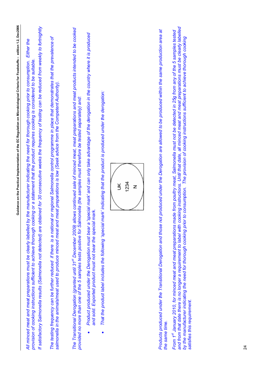| Guidance on the Practical Implementation of the EC Regulation on Microbiological Criteria for Foodstuffs – edition 1.2, Dec2006                                                                                                                                                                                                                                                                                                                                                                                                                 |
|-------------------------------------------------------------------------------------------------------------------------------------------------------------------------------------------------------------------------------------------------------------------------------------------------------------------------------------------------------------------------------------------------------------------------------------------------------------------------------------------------------------------------------------------------|
| obtained for 30 consecutive weeks the frequency of testing can be reduced from weekly to fortnightly<br>Either the<br>by the manufacturer indicating the need for thorough cooking prior to consumption.<br>provision of cooking instructions sufficient to achieve thorough cooking or a statement that the product requires cooking is considered to be suitable.<br>All minced meat and meat preparations must be clearly labelled<br>If satisfactory Salmonella results (Salmonella not detected) are                                       |
| The testing frequency can be further reduced if there is a national or regional Salmonella control programme in place that demonstrates that the prevalence of<br>salmonella in the animals/meat used to produce minced meat and meat preparations is low (Seek advice from the Competent Authority).                                                                                                                                                                                                                                           |
| allows continued sale of minced meat, meat preparations and meat products intended to be cooked<br>provided no more than one of the 5 samples tests positive for Salmonella (the samples must therefore be tested separately) and:<br>The Transitional Derogation (granted until 31st December 2009)                                                                                                                                                                                                                                            |
| Product produced under the Derogation must bear a 'special mark' and can only take advantage of the derogation in the country where it is produced<br>and sold. Exported product must not bear the special mark.                                                                                                                                                                                                                                                                                                                                |
| That the product label includes the following 'special mark' indicating that the product is produced under the derogation:                                                                                                                                                                                                                                                                                                                                                                                                                      |
|                                                                                                                                                                                                                                                                                                                                                                                                                                                                                                                                                 |
| not produced under the Derogation are allowed to be produced within the same production area at<br>Products produced under the Transitional Derogation and those<br>the same time.                                                                                                                                                                                                                                                                                                                                                              |
| cooking instructions. Until that date, all minced meat and meat preparations must be clearly labelled<br>made from poultry meat, Salmonella must not be detected in 25g from any of the 5 samples tested<br>by the manufacturer indicating the need for thorough cooking prior to consumption. The provision of cooking instructions sufficient to achieve thorough cooking<br>From 1st January 2010, for minced meat and meat preparations<br>and from that date there is no longer a requirement to label with<br>satisfies this requirement. |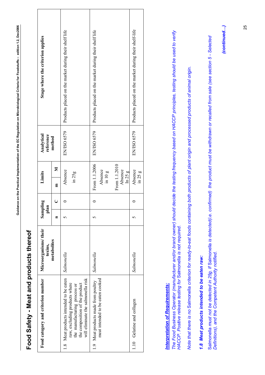<span id="page-25-0"></span>

| I      |
|--------|
| l<br>ı |
|        |
|        |
| ī<br>ļ |
| ֚      |
|        |
|        |
| j      |

# **Food Safety - Meat and products thereof**  Food Safety - Meat and products thereof

| Stage where the criterion applies  |             | Products placed on the market during their shelf life                                                                                                                           | Products placed on the market during their shelf life                         | Products placed on the market during their shelf-life |
|------------------------------------|-------------|---------------------------------------------------------------------------------------------------------------------------------------------------------------------------------|-------------------------------------------------------------------------------|-------------------------------------------------------|
| Analytical<br>reference            | method      | EN/ISO 6579                                                                                                                                                                     | EN/ISO 6579                                                                   | EN/ISO 6579                                           |
| Limits                             | Σ<br>톱      | Absence<br>in 25g                                                                                                                                                               | From 1.1.2006<br>From 1.1.2010<br>Absence<br>Absence<br>in 10 g<br>$\ln 25 g$ | Absence<br>in 25 g                                    |
| Sampling<br>plan                   | ر           |                                                                                                                                                                                 |                                                                               |                                                       |
|                                    | Ξ           |                                                                                                                                                                                 |                                                                               |                                                       |
| Microorganisms/their<br>toxins,    | metabolites | Salmonella                                                                                                                                                                      | Salmonella                                                                    | Salmonella                                            |
| Food category and criterion number |             | 1.8 Meat products intended to be eaten<br>will eliminate the salmonella risk<br>raw, excluding products where<br>the composition of the product<br>the manufacturing process or | meat intended to be eaten cooked<br>1.9 Meat products made from poultry       | 1.10 Gelatine and collagen                            |

## **Interpretation of Requirements:** *Interpretation of Requirements:*

The Food Business Operator (manufacturer and/or brand owner) should decide the testing frequency based on HACCP principles, testing should be used to verify<br>HACCP. Positive release testing for Salmonella is not required. *The Food Business Operator (manufacturer and/or brand owner) should decide the testing frequency based on HACCP principles, testing should be used to verify HACCP. Positive release testing for* Salmonella *is not required.* 

*Note that there is no* Salmonella *criterion for ready-to-eat foods containing both products of plant origin and processed products of animal origin.*  Note that there is no Salmonella criterion for ready-to-eat foods containing both products of plant origin and processed products of animal origin.

# 1.8 Meat products intended to be eaten raw: *1.8 Meat products intended to be eaten raw:*

Salmonella *must not be detected in 25g. If* Salmonella *is detected(i.e. confirmed) the product must be withdrawn or recalled from sale (see section 5 - Selected*  Salmonella must not be detected in 25g. If Salmonella is detected(i.e. confirmed) the product must be withdrawn or recalled from sale (see section 5 - Selected *Definitions), and the Competent Authority notified.*  Definitions), and the Competent Authority notified.

*(continued…)* (continued...)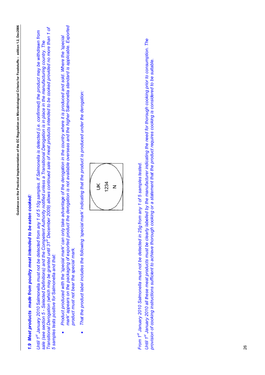# *1.9 Meat products made from poultry meat intended to be eaten cooked:*  1.9 Meat products made from poultry meat intended to be eaten cooked:

Transitional Derogation (which may be granted until 31<sup>st</sup> December 2009) allows continued sale of meat products intended to be cooked provided no more than 1 of *Transitional Derogation (which may be granted until 31<sup>st</sup> December 2009) allows continued sale of meat products intended to be cooked provided no more than 1 of* Until 1st January 2010 Salmonella must not be detected from any 1 of 5 10g samples. If Salmonella is detected (i.e. confirmed) the product may be withdrawn from *Until 1st January 2010* Salmonella *must not be detected from any 1 of 5 10g samples. If Salmonella is detected (i.e. confirmed) the product may be withdrawn from* sale (see section 5 - Selected Definitions) and the Competent Authority notified unless a Transitional Derogation is in place in the manufacturing country. The *sale (see section 5 - Selected Definitions) and the Competent Authority notified unless a Transitional Derogation is in place in the manufacturing country. The 5 samples tests positive for* Salmonella *and that:*  5 samples tests positive for Salmonella and that:

- mark' appears on the packaging of exported product the derogation is not available overseas and the higher Salmonella standard is applicable. Exported *mark' appears on the packaging of exported product the derogation is not available overseas and the higher* Salmonella *standard is applicable. Exported*  Product produced with the 'special mark' can only take advantage of the derogation in the country where it is produced and sold. Where the 'special *Product produced with the 'special mark' can only take advantage of the derogation in the country where it is produced and sold. Where the 'special product must not bear the special mark.*  product must not bear the special mark. •
- *That the product label includes the following 'special mark' indicating that the product is produced under the derogation:*  That the product label includes the following 'special mark' indicating that the product is produced under the derogation: •



*From 1st January 2010 Salmonella must not be detected in 25g from any 1 of 5 samples tested.*  From 1st January 2010 Salmonella must not be detected in 25g from any 1 of 5 samples tested.

*Until 1st January 2010 all these meat products must be clearly labelled by the manufacturer indicating the need for thorough cooking prior to consumption. The*  Until 1st January 2010 all these meat products must be clearly labelled by the manufacturer indicating the need for thorough cooking prior to consumption. The provision of cooking instructions sufficient to achieve thorough cooking or a statement that the product requires cooking is considered to be suitable. *provision of cooking instructions sufficient to achieve thorough cooking or a statement that the product requires cooking is considered to be suitable.*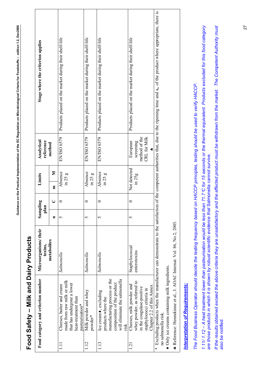<span id="page-27-0"></span>

| ì                             |
|-------------------------------|
| i                             |
| i                             |
|                               |
|                               |
| $\mathbf{r}$                  |
| $\overline{\phantom{a}}$<br>I |
|                               |
|                               |
|                               |
| j                             |

# **Food Safety – Milk and Dairy Products**  Food Safety - Milk and Dairy Products

|       | Food category and criterion number                                                                                                                 | Microorganisms/their<br>toxins, | Sampling<br>plan  |                     | Limits                 | Analytical<br>reference                                     | Stage where the criterion applies                                                                                                                                                                        |
|-------|----------------------------------------------------------------------------------------------------------------------------------------------------|---------------------------------|-------------------|---------------------|------------------------|-------------------------------------------------------------|----------------------------------------------------------------------------------------------------------------------------------------------------------------------------------------------------------|
|       |                                                                                                                                                    | metabolites                     | $\blacksquare$    | $\cup$              | Σ<br>E                 | method                                                      |                                                                                                                                                                                                          |
|       | made from raw milk or milk<br>that has undergone a lower<br>Cheeses, butter and cream<br>heat-treatment than<br>pasteurisation*                    | Salmonella                      | $\mathcal{L}$     | 0                   | Absence<br>in 25 g     | EN/ISO 6579                                                 | Products placed on the market during their shelf-life                                                                                                                                                    |
| 1.12  | Milk powder and whey<br>powder*                                                                                                                    | Salmonella                      | 5                 | $\mathord{\subset}$ | Absence<br>in 25 g     | EN/ISO 6579                                                 | Products placed on the market during their shelf-life                                                                                                                                                    |
| 1.13  | manufacturing process or the<br>will eliminate the salmonella<br>composition of the product<br>Ice cream ♦, excluding<br>products where the<br>nsk | Salmonella                      | $\mathbf{\Omega}$ | 0                   | Absence<br>$\ln 25$ g  | EN/ISO 6579                                                 | Products placed on the market during their shelf-life                                                                                                                                                    |
| $\Xi$ | whey powder, as referred to<br>Cheeses, milk powder and<br>Chapter 2.2 of this Annex<br>in the coagulase-positive<br>staphylococci criteria in     | Staphylococcal<br>enterotoxins  | $\Omega$          | 0                   | Not detected<br>in 25g | method of the<br>CRL for Milk<br>screening<br>European<br>÷ | Products placed on the market during their shelf-life                                                                                                                                                    |
|       | $\bullet$ Only ice creams containing milk ingredients.<br>no salmonella risk.                                                                      |                                 |                   |                     |                        |                                                             | * Excluding products when the manufacturer can demonstrate to the satisfaction of the competent authorities that, due to the ripening time and a <sub>w</sub> of the product where appropriate, there is |

## **Interpretation of Requirements:** *Interpretation of Requirements:*

♣ Reference: Hennekinne et al., J. AOAC Internat. Vol. 86, No 2, 2003.

\* Reference: Hennekinne et al., J. AOAC Internat. Vol. 86, No 2, 2003.

The Food Business Operator should decide the testing frequency based on HACCP principles, testing should be used to verify HACCP. *The Food Business Operator should decide the testing frequency based on HACCP principles, testing should be used to verify HACCP.* 

*1.11/ 1.12 – A heat treatment lower than pasteurisation would be less than 71.7*°*C for 15 seconds or the thermal equivalent. Products excluded for this food category*  1.11/1.12 - A heat treatment lower than pasteurisation would be less than 71.7°C for 15 seconds or the thermal equivalent. Products excluded for this food category *are those products in which it is shown by robust scientific evidence that* Salmonella *cannot survive.*  are those products in which it is shown by robust scientific evidence that Salmonella cannot survive. If the results obtained exceed the above criteria they are unsatisfactory and the affected product must be withdrawn from the market. The Competent Authority must *If the results obtained exceed the above criteria they are unsatisfactory and the affected product must be withdrawn from the market. The Competent Authority must also be notified.*  also be notified.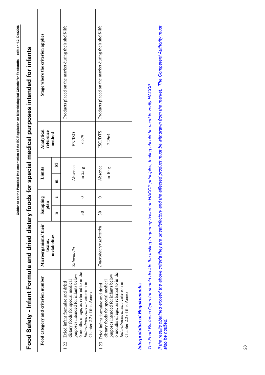| Food category and criterion number                                                                                                                                                                                         | Microorganisms/their<br>toxins, | Sampling<br>olan         |   | Limits                 | Analytical<br>reference | Stage where the criterion applies                     |
|----------------------------------------------------------------------------------------------------------------------------------------------------------------------------------------------------------------------------|---------------------------------|--------------------------|---|------------------------|-------------------------|-------------------------------------------------------|
|                                                                                                                                                                                                                            | metabolites                     | Ξ                        | ں | E                      | method<br>⋝             |                                                       |
| 6 months of age, as referred to in the<br>purposes intended for infants below<br>dietary foods for special medical<br>1.22 Dried infant formulae and dried<br>Enterobacteriaceae criterion in<br>Chapter 2.2 of this Annex | Salmonella                      | $\overline{\mathbf{30}}$ |   | Absence<br>in $25g$    | <b>EN/ISO</b><br>6579   | Products placed on the market during their shelf-life |
| 6 months of age, as referred to in the<br>purposes intended for infants below<br>dietary foods for special medical<br>Enterobacteriaceae criterion in<br>1.23 Dried infant formulae and dried<br>Chapter 2.2 of this Annex | Enterobacter sakazakii          | $\overline{\mathbf{30}}$ |   | Absence<br>$\sin 10 g$ | <b>SODTS</b><br>22964   | Products placed on the market during their shelf-life |
| <b>Interpretation of Requirements:</b>                                                                                                                                                                                     |                                 |                          |   |                        |                         |                                                       |

# **Food Safety - Infant Formula and dried dietary foods for special medical purposes intended for infants**  Food Safety - Infant Formula and dried dietary foods for special medical purposes intended for infants

**Guidance on the Practical Implementation of the EC Regulation on Microbiological Criteria for Foodstuffs – edition 1.2, Dec2006** 

<span id="page-28-0"></span>Guidance on the Practical Implementation of the EC Regulation on Microbiological Criteria for Foodstuffs - edition 1.2, Dec2006

*The Food Business Operator should decide the testing frequency based on HACCP principles, testing should be used to verify HACCP.*  The Food Business Operator should decide the testing frequency based on HACCP principles, testing should be used to verify HACCP. If the results obtained exceed the above criteria they are unsatisfactory and the affected product must be withdrawn from the market. The Competent Authority must<br>also be notified. *If the results obtained exceed the above criteria they are unsatisfactory and the affected product must be withdrawn from the market. The Competent Authority must also be notified.*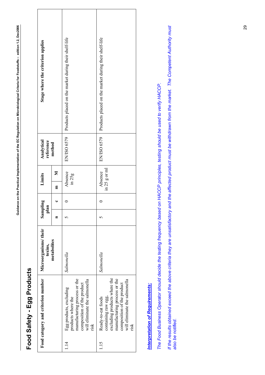<span id="page-29-0"></span>

| l                                                            |
|--------------------------------------------------------------|
|                                                              |
|                                                              |
|                                                              |
|                                                              |
| ֧ׅ֧ׅ֧֧֧֧֧֚֚֚֚֚֚֚֚֚֚֚֚֚֚֚֚֚֚֚֚֚֚֚֚֡֝֡֜֝֟֓֡֞֡֡֞֝֬֝֝֬֝֞֟֝֬֝֓֝֞֝ |
|                                                              |
|                                                              |
|                                                              |
|                                                              |
| j                                                            |
|                                                              |
|                                                              |
|                                                              |
|                                                              |
|                                                              |
|                                                              |
|                                                              |
|                                                              |
|                                                              |
|                                                              |
|                                                              |
|                                                              |
|                                                              |
|                                                              |
|                                                              |
|                                                              |
|                                                              |
|                                                              |
|                                                              |
|                                                              |
|                                                              |
|                                                              |
|                                                              |
|                                                              |
|                                                              |
|                                                              |
| $\frac{1}{2}$<br>ו<br>ו                                      |
| l                                                            |
|                                                              |
|                                                              |
|                                                              |
|                                                              |
|                                                              |
|                                                              |
|                                                              |
|                                                              |
|                                                              |
|                                                              |
|                                                              |
|                                                              |
|                                                              |
|                                                              |
|                                                              |
|                                                              |
|                                                              |
|                                                              |
|                                                              |
|                                                              |
|                                                              |
|                                                              |
|                                                              |
|                                                              |
|                                                              |
|                                                              |
|                                                              |
|                                                              |
|                                                              |
|                                                              |
| Ī<br>ĺ                                                       |
|                                                              |
|                                                              |

## **Food Safety - Egg Products**  Food Safety - Egg Products

| manufacturing process or the<br>will eliminate the salmonella<br>composition of the product<br>risk |
|-----------------------------------------------------------------------------------------------------|
|                                                                                                     |

## **Interpretation of Requirements:** *Interpretation of Requirements:*

The Food Business Operator should decide the testing frequency based on HACCP principles, testing should be used to verify HACCP. *The Food Business Operator should decide the testing frequency based on HACCP principles, testing should be used to verify HACCP.* 

If the results obtained exceed the above criteria they are unsatisfactory and the affected product must be withdrawn from the market. The Competent Authority must *If the results obtained exceed the above criteria they are unsatisfactory and the affected product must be withdrawn from the market. The Competent Authority must also be notified.*  also be notified.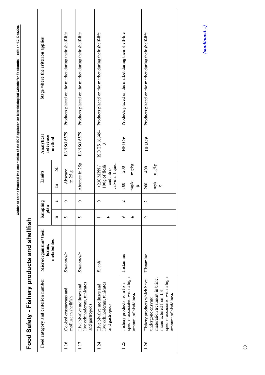<span id="page-30-0"></span>

| l       |
|---------|
|         |
|         |
|         |
| I       |
|         |
|         |
|         |
|         |
|         |
|         |
|         |
|         |
| I       |
|         |
|         |
|         |
|         |
|         |
|         |
|         |
| ֖֚֘֝֬   |
|         |
|         |
|         |
|         |
|         |
|         |
|         |
|         |
|         |
|         |
|         |
|         |
|         |
|         |
|         |
|         |
|         |
|         |
|         |
|         |
|         |
|         |
|         |
|         |
|         |
| ו<br>י  |
|         |
|         |
| l<br>I  |
|         |
|         |
|         |
|         |
|         |
|         |
|         |
|         |
|         |
|         |
|         |
|         |
|         |
|         |
|         |
|         |
|         |
|         |
|         |
|         |
|         |
|         |
|         |
|         |
|         |
|         |
|         |
|         |
|         |
|         |
|         |
|         |
|         |
|         |
|         |
|         |
|         |
| ء۔<br>ت |

# Food Safety - Fishery products and shellfish **Food Safety - Fishery products and shellfish**

| Stage where the criterion applies  |             | Products placed on the market during their shelf-life | Products placed on the market during their shelf-life                      | Products placed on the market during their shelf-life                      | Products placed on the market during their shelf-life                                | Products placed on the market during their shelf-life                                                                                                                 |
|------------------------------------|-------------|-------------------------------------------------------|----------------------------------------------------------------------------|----------------------------------------------------------------------------|--------------------------------------------------------------------------------------|-----------------------------------------------------------------------------------------------------------------------------------------------------------------------|
| Analytical<br>reference            | method      | EN/ISO 6579                                           | EN/ISO 6579                                                                | ISO TS 16649-                                                              | HPLC                                                                                 | HPLC                                                                                                                                                                  |
| Limits                             | Σ           | Absence<br>$\ln 25 g$                                 | Absence in 25g                                                             | valvular liquid<br>100g of flesh<br>$<$ 230 MPN /<br>and intra-            | mg/kg<br>200                                                                         | mg/kg<br>400                                                                                                                                                          |
|                                    | 目           |                                                       |                                                                            |                                                                            | $mg/k$<br>100<br>60                                                                  | $mg/k$<br>200<br>b.                                                                                                                                                   |
| Sampling<br>$\overline{a}$         | ں           |                                                       | ᅌ                                                                          | 0                                                                          | $\mathbf 2$                                                                          | $\mathbf{\sim}$                                                                                                                                                       |
| $\overline{p}$                     | Ξ           | 5                                                     | 5                                                                          |                                                                            | ๑                                                                                    | ᡋ                                                                                                                                                                     |
| Microorganisms/ their<br>toxins,   | metabolites | Salmonella                                            | Salmonella                                                                 | E. coli                                                                    | Histamine                                                                            | Histamine                                                                                                                                                             |
| Food category and criterion number |             | Cooked crustaceans and<br>molluscan shellfish         | live echinoderms, tunicates<br>Live bivalve molluscs and<br>and gastropods | live echinoderms, tunicates<br>Live bivalve molluscs and<br>and gastropods | species associated with a high<br>Fishery products from fish<br>amount of histidine. | maturation treatment in brine,<br>species associated with a high<br>Fishery products which have<br>manufactured from fish<br>amount of histidine.<br>undergone enzyme |
|                                    |             | 1.16                                                  | 1.17                                                                       | 124                                                                        | 1.25                                                                                 | 1.26                                                                                                                                                                  |

(continued...) *(continued…)*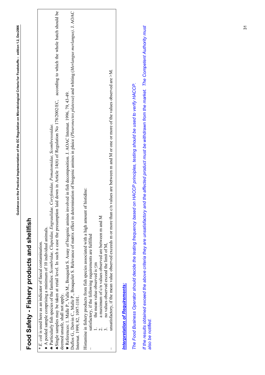| j                   |  |
|---------------------|--|
|                     |  |
|                     |  |
|                     |  |
|                     |  |
|                     |  |
|                     |  |
|                     |  |
|                     |  |
|                     |  |
|                     |  |
|                     |  |
|                     |  |
|                     |  |
|                     |  |
| j                   |  |
|                     |  |
|                     |  |
|                     |  |
|                     |  |
| $\overline{1}$<br>I |  |
|                     |  |
|                     |  |
|                     |  |
|                     |  |
|                     |  |
|                     |  |
|                     |  |
|                     |  |
|                     |  |
|                     |  |
|                     |  |
|                     |  |
|                     |  |
|                     |  |
|                     |  |
| ı                   |  |
|                     |  |
|                     |  |
|                     |  |

# **Food Safety - Fishery products and shellfish**  Food Safety - Fishery products and shellfish

*\* E. coli* is used here as an indicator of faecal contamination. \* E. coli is used here as an indicator of faecal contamination.

 $\bullet$  A pooled sample comprising a minimum of 10 individual animals.  $\bullet$  A pooled sample comprising a minimum of 10 individual animals.

♣ Particularly fish species of the families: *Scombridae, Clupeidae, Engraulidae, Coryfenidae, Pomatomidae, Scombresosidae.*  \* Particularly fish species of the families: Scombridae, Clupeidae, Engraulidae, Coryfenidae, Pomatomidae, Scombresosidae.

Single samples may be taken at retail level. In such a case the presumption laid down in Article 14(6) of Regulation No 178/2002/EC, according to which the whole batch should be ♠Single samples may be taken at retail level. In such a case the presumption laid down in Article 14(6) of Regulation No 178/2002/EC, according to which the whole batch should be deemed unsafe, shall not apply. deemed unsafe, shall not apply.

♥ References: 1. Malle P., Valle M., Bouquelet S. Assay of biogenic amines involved in fish decomposition. J. AOAC Internat. 1996, 79, 43-49. ♥ References: 1. Malle P., Valle M., Bouquelet S. Assay of biogenic amines involved in fish decomposition. J. AOAC Internat. 1996, 79, 43-49.

Duflos G., Dervin C., Malle P., Bouquelet S. Relevance of matrix effect in determination of biogenic amines in plaice (Pleuronectes platessa) and whiting (Merlangus merlangus). J. AOAC Duflos G., Dervin C., Malle P., Bouquelet S. Relevance of matrix effect in determination of biogenic amines in plaice (*Pleuronectes platessa*) and whiting (*Merlangus merlangus)*. J. AOAC Internat. 1999, 82, 1097-1101. Internat. 1999, 82, 1097-1101.

Histamine in fishery products from fish species associated with a high amount of histidine: Histamine in fishery products from fish species associated with a high amount of histidine:

- satisfactory, if the following requirements are fulfilled satisfactory, if the following requirements are fulfilled
	- 1. the mean value observed is the mean value observed is  $\leq m$
- 2. a maximum of c/n values observed are between m and M a maximum of c/n values observed are between m and M
- 3. no values observed exceed the limit of M, no values observed exceed the limit of M,

 $\overline{1}$ 

unsatisfactory, if the mean value observed exceeds m or more than c/n values are between m and M or one or more of the values observed are  $\geq$ M. unsatisfactory, if the mean value observed exceeds m or more than  $c/n$  values are between m and M or one or more of the values observed are >M.

## **Interpretation of Requirements:** *Interpretation of Requirements:*

*The Food Business Operator should decide the testing frequency based on HACCP principles, testing should be used to verify HACCP.*  The Food Business Operator should decide the testing frequency based on HACCP principles, testing should be used to verify HACCP. If the results obtained exceed the above criteria they are unsatisfactory and the affected product must be withdrawn from the market. The Competent Authority must *If the results obtained exceed the above criteria they are unsatisfactory and the affected product must be withdrawn from the market. The Competent Authority must also be notified.*  also be notified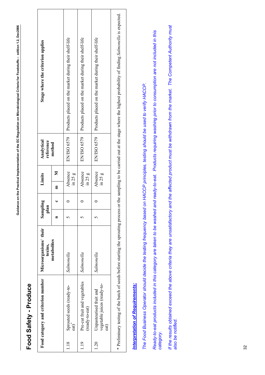<span id="page-32-0"></span>

| j<br>י<br>ו                                                                                                |
|------------------------------------------------------------------------------------------------------------|
| l<br>ı<br>֖֖֪֪ׅ֪֪֪֪֪֪֛֪֪֪֪֪֛֪֪֛֪֪֛֪֪֛֪֪֪֛֪֪֛֚֚֚֚֚֚֚֚֚֚֚֚֚֚֬֝֝֝֝֝֬֝֬֝֬֝֬֝֬֝֬֝֬֝֬֝֬֝֬֝֓֬֝֬֝֬֝֬<br>ׇ֚֚֠֕<br>l |
|                                                                                                            |
| ï<br>ì<br>j                                                                                                |
|                                                                                                            |
| l<br>$\mathbf{I}$<br>I                                                                                     |
|                                                                                                            |
|                                                                                                            |
| $\overline{\phantom{a}}$                                                                                   |
| Ğü                                                                                                         |

## **Food Safety - Produce**  Food Safety - Produce

| Stage where the criterion applies  |             | EN/ISO 6579 Products placed on the market during their shelf-life | Products placed on the market during their shelf-life | EN/ISO 6579   Products placed on the market during their shelf-life |  |
|------------------------------------|-------------|-------------------------------------------------------------------|-------------------------------------------------------|---------------------------------------------------------------------|--|
| Analytical<br>reference            | method      |                                                                   | EN/ISO 6579                                           |                                                                     |  |
| Limits                             | E           | Absence<br>in 25 g                                                | Absence<br>$\ln 25$ g                                 | Absence<br>in 25 g                                                  |  |
| $\overline{a}$                     |             |                                                                   |                                                       |                                                                     |  |
| Sampling<br>$\overline{a}$         |             |                                                                   |                                                       |                                                                     |  |
| Microorganisms/ their<br>toxins,   | metabolites | Salmonella                                                        | Salmonella                                            | Salmonella                                                          |  |
| Food category and criterion number |             | Sprouted seeds (ready-to-<br>$ext{at}$                            | Pre-cut fruit and vegetables<br>(ready-to-eat)        | vegetable juices (ready-to-<br>Unpasteurised fruit and<br>$ext{a}$  |  |
|                                    |             | 1.18                                                              | 1.19                                                  | 1.20                                                                |  |

\* Preliminary testing of the batch of seeds before starting the sprouting process or the sampling to be carried out at the stage where the highest probability of finding Salmonella is expected. \* Preliminary testing of the batch of seeds before starting the sprouting process or the sampling to be carried out at the stage where the highest probability of finding *Salmonella* is expected.

## **Interpretation of Requirements:** *Interpretation of Requirements:*

*The Food Business Operator should decide the testing frequency based on HACCP principles, testing should be used to verify HACCP.*  The Food Business Operator should decide the testing frequency based on HACCP principles, testing should be used to verify HACCP. Ready-to-eat products included in this category are taken to be washed and ready-to-eat. Products requiring washing prior to consumption are not included in this *Ready-to-eat products included in this category are taken to be washed and ready-to-eat. Products requiring washing prior to consumption are not included in this category.*  If the results obtained exceed the above criteria they are unsatisfactory and the affected product must be withdrawn from the market. The Competent Authority must *If the results obtained exceed the above criteria they are unsatisfactory and the affected product must be withdrawn from the market. The Competent Authority must also be notified.*  also be notified.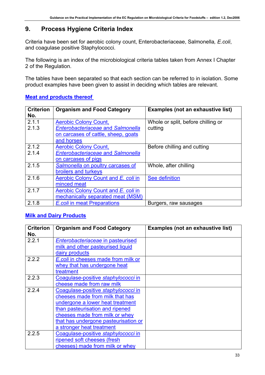## **9. Process Hygiene Criteria Index**

Criteria have been set for aerobic colony count, Enterobacteriaceae, Salmonella*, E.coli*, and coagulase positive Staphylococci.

The following is an index of the microbiological criteria tables taken from Annex I Chapter 2 of the Regulation.

The tables have been separated so that each section can be referred to in isolation. Some product examples have been given to assist in deciding which tables are relevant.

| <b>Criterion</b><br>No. | <b>Organism and Food Category</b>                                                                                             | <b>Examples (not an exhaustive list)</b>      |
|-------------------------|-------------------------------------------------------------------------------------------------------------------------------|-----------------------------------------------|
| 2.1.1<br>2.1.3          | <b>Aerobic Colony Count,</b><br><b>Enterobacteriaceae and Salmonella</b><br>on carcases of cattle, sheep, goats<br>and horses | Whole or split, before chilling or<br>cutting |
| 2.1.2<br>2.1.4          | <b>Aerobic Colony Count,</b><br><b>Enterobacteriaceae and Salmonella</b><br>on carcases of pigs                               | Before chilling and cutting                   |
| 2.1.5                   | Salmonella on poultry carcases of<br>broilers and turkeys                                                                     | Whole, after chilling                         |
| 2.1.6                   | Aerobic Colony Count and E. coli in<br>minced meat                                                                            | See definition                                |
| 2.1.7                   | Aerobic Colony Count and E. coli in<br>mechanically separated meat (MSM)                                                      |                                               |
| 2.1.8                   | <b>E.coli in meat Preparations</b>                                                                                            | Burgers, raw sausages                         |

## **[Meat and products thereof](#page-36-0)**

## **[Milk and Dairy Products](#page-45-0)**

| <b>Criterion</b><br>No. | <b>Organism and Food Category</b>    | <b>Examples (not an exhaustive list)</b> |
|-------------------------|--------------------------------------|------------------------------------------|
| 2.2.1                   | Enterobacteriaceae in pasteurised    |                                          |
|                         | milk and other pasteurised liquid    |                                          |
|                         | dairy products                       |                                          |
| 2.2.2                   | E.coli in cheeses made from milk or  |                                          |
|                         | whey that has undergone heat         |                                          |
|                         | treatment                            |                                          |
| 2.2.3                   | Coagulase-positive staphylococci in  |                                          |
|                         | cheese made from raw milk            |                                          |
| 2.2.4                   | Coagulase-positive staphylococci in  |                                          |
|                         | cheeses made from milk that has      |                                          |
|                         | undergone a lower heat treatment     |                                          |
|                         | than pasteurisation and ripened      |                                          |
|                         | cheeses made from milk or whey       |                                          |
|                         | that has undergone pasteurisation or |                                          |
|                         | a stronger heat treatment            |                                          |
| 2.2.5                   | Coagulase-positive staphylococci in  |                                          |
|                         | ripened soft cheeses (fresh          |                                          |
|                         | cheeses) made from milk or whey      |                                          |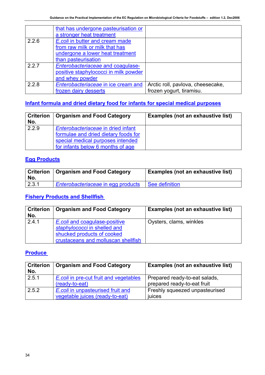<span id="page-34-0"></span>

|       | that has undergone pasteurisation or  |                                   |
|-------|---------------------------------------|-----------------------------------|
|       | a stronger heat treatment             |                                   |
| 2.2.6 | E.coli in butter and cream made       |                                   |
|       | from raw milk or milk that has        |                                   |
|       | undergone a lower heat treatment      |                                   |
|       | than pasteurisation                   |                                   |
| 2.2.7 | Enterobacteriaceae and coagulase-     |                                   |
|       | positive staphylococci in milk powder |                                   |
|       | and whey powder                       |                                   |
| 2.2.8 | Enterobacteriaceae in ice cream and   | Arctic roll, pavlova, cheesecake, |
|       | frozen dairy desserts                 | frozen yogurt, tiramisu.          |

## **[Infant formula and dried dietary food for infants for special medical purposes](#page-48-0)**

| <b>Criterion</b><br>No. | <b>Organism and Food Category</b>                                                                                                                    | <b>Examples (not an exhaustive list)</b> |
|-------------------------|------------------------------------------------------------------------------------------------------------------------------------------------------|------------------------------------------|
| 2.2.9                   | Enterobacteriaceae in dried infant<br>formulae and dried dietary foods for<br>special medical purposes intended<br>for infants below 6 months of age |                                          |

## **[Egg Products](#page-49-0)**

| No.   | <b>Criterion   Organism and Food Category</b> | <b>Examples (not an exhaustive list)</b> |
|-------|-----------------------------------------------|------------------------------------------|
| 2.3.1 | Enterobacteriaceae in egg products            | See definition                           |

## **[Fishery Products and Shellfish](#page-50-0)**

| <b>Criterion</b><br>No. | <b>Organism and Food Category</b>                                                                                                  | <b>Examples (not an exhaustive list)</b> |
|-------------------------|------------------------------------------------------------------------------------------------------------------------------------|------------------------------------------|
| 2.4.1                   | E.coli and coagulase-positive<br>staphylococci in shelled and<br>shucked products of cooked<br>crustaceans and molluscan shellfish | Oysters, clams, winkles                  |

## **[Produce](#page-51-0)**

| <b>Criterion</b><br>No. | <b>Organism and Food Category</b>                                    | <b>Examples (not an exhaustive list)</b>                     |
|-------------------------|----------------------------------------------------------------------|--------------------------------------------------------------|
| 2.5.1                   | E.coli in pre-cut fruit and vegetables<br>(ready-to-eat)             | Prepared ready-to-eat salads,<br>prepared ready-to-eat fruit |
| 2.5.2                   | E.coli in unpasteurised fruit and<br>vegetable juices (ready-to-eat) | Freshly squeezed unpasteurised<br>juices                     |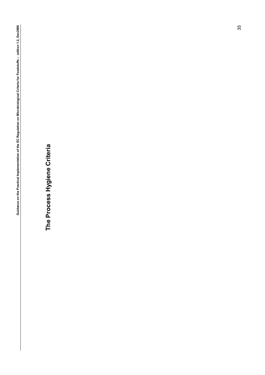The Process Hygiene Criteria **The Process Hygiene Criteria**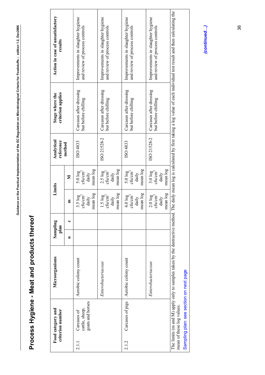# Process Hygiene - Meat and products thereof **Process Hygiene - Meat and products thereof**

<span id="page-36-0"></span>

|       | Food category and<br>criterion number             | Microorganisms       | Sampling<br>plan |   | Limits                                                        |                                                                   | Analytical<br>reference | criterion applies<br>Stage where the           | Action in case of unsatisfactory<br>results                                                                                                                                                      |
|-------|---------------------------------------------------|----------------------|------------------|---|---------------------------------------------------------------|-------------------------------------------------------------------|-------------------------|------------------------------------------------|--------------------------------------------------------------------------------------------------------------------------------------------------------------------------------------------------|
|       |                                                   |                      | $\blacksquare$   | ں | E                                                             | Σ                                                                 | method                  |                                                |                                                                                                                                                                                                  |
| 2.1.1 | goats and horses<br>cattle, sheep,<br>Carcases of | Aerobic colony count |                  |   | mean log<br>$3.5 \log$<br>cfu/cm <sup>2</sup><br>daily        | mean log<br>$5.0$ $log$<br>cfu/cm <sup>2</sup><br>daily           | ISO 4833                | Carcases after dressing<br>but before chilling | Improvements in slaughter hygiene<br>and review of process controls                                                                                                                              |
|       |                                                   | Enterobacteriaceae   |                  |   | mean log<br>$1.5 \log$<br>$\text{cm}^2$<br>daily              | mean log<br>$2.5 \log$<br>cfu/cm <sup>2</sup><br>daily            | ISO 21528-2             | Carcases after dressing<br>but before chilling | Improvements in slaughter hygiene<br>and review of process controls                                                                                                                              |
| 2.1.2 | Carcases of pigs                                  | Aerobic colony count |                  |   | mean log<br>$4.0$ $log$<br>cfu/cm <sup>2</sup><br>daily       | mean log<br>$5.0 \log$ cfu/cm <sup>2</sup><br>daily               | ISO 4833                | Carcases after dressing<br>but before chilling | Improvements in slaughter hygiene<br>and review of process controls                                                                                                                              |
|       |                                                   | Enterobacteriaceae   |                  |   | mean log<br>$2.0\ \log$<br>$\text{ch} / \text{cm}^2$<br>daily | mean log<br>$3.0 \log$<br>$\text{cm}^2$<br>$\mbox{d} \mbox{aily}$ | ISO 21528-2             | Carcases after dressing<br>but before chilling | Improvements in slaughter hygiene<br>and review of process controls                                                                                                                              |
|       | mean of these log values.                         |                      |                  |   |                                                               |                                                                   |                         |                                                | The limits (m and M) apply only to samples taken by the destructive method. The daily mean log is calculated by first taking a log value of each individual test result and then calculating the |
|       | Sampling plan: see section on next page           |                      |                  |   |                                                               |                                                                   |                         |                                                |                                                                                                                                                                                                  |

(continued...) *(continued…)*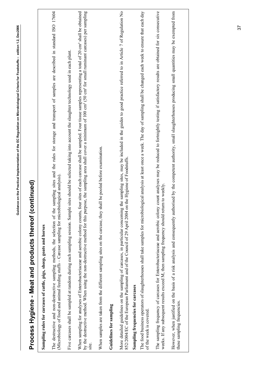| Process Hygiene - Meat and products thereof (continued)                                                                                                                                                                                                                                                                                                                                                                                  |
|------------------------------------------------------------------------------------------------------------------------------------------------------------------------------------------------------------------------------------------------------------------------------------------------------------------------------------------------------------------------------------------------------------------------------------------|
| Sampling rules for carcases of cattle, pigs, sheep, goats and horses                                                                                                                                                                                                                                                                                                                                                                     |
| e sampling sites and the rules for storage and transport of samples are described in standard ISO 17604<br>(Microbiology of food and animal feeding stuffs - Carcase sampling for microbiological analysis).<br>The destructive and non-destructive sampling methods, the selection of the                                                                                                                                               |
| Five carcases shall be sampled at random during each sampling session. Sample sites should be selected taking into account the slaughter technology used in each plant.                                                                                                                                                                                                                                                                  |
| by the destructive method. When using the non-destructive method for this purpose, the sampling area shall cover a minimum of 100 cm <sup>2</sup> (50 cm <sup>2</sup> for small ruminant carcases) per sampling<br>four sites of each carcase shall be sampled. Four tissue samples representing a total of 20 cm <sup>2</sup> shall be obtained<br>When sampling for analyses of Enterobacteriaceae and aerobic colony counts,<br>site. |
| shall be pooled before examination.<br>When samples are taken from the different sampling sites on the carcase, they                                                                                                                                                                                                                                                                                                                     |
| Guidelines for sampling                                                                                                                                                                                                                                                                                                                                                                                                                  |
| More detailed guidelines on the sampling of carcases, in particular concerning the sampling sites, may be included in the guides to good practice referred to in Article 7 of Regulation No<br>on the Hygiene of Foodstuffs.<br>852/2004/EC of the European Parliament and of the Council of 29 April 2004                                                                                                                               |
| Sampling frequencies for carcases                                                                                                                                                                                                                                                                                                                                                                                                        |
| The food business operators of slaughterhouses shall take samples for microbiological analysis at least once a week. The day of sampling shall be changed each week to ensure that each day<br>of the week is covered                                                                                                                                                                                                                    |
| The sampling frequency of carcases for Enterobacteriaceae and aerobic colony count analyses may be reduced to fortnightly testing if satisfactory results are obtained for six consecutive<br>weeks. If any subsequent results exceed M, then sampling frequency should return to weekly.                                                                                                                                                |
| However, when justified on the basis of a risk analysis and consequently authorised by the competent authority, small slaughterhouses producing small quantities may be exempted from<br>these sampling frequencies.                                                                                                                                                                                                                     |
|                                                                                                                                                                                                                                                                                                                                                                                                                                          |

**Guidance on the Practical Implementation of the EC Regulation on Microbiological Criteria for Foodstuffs – edition 1.2, Dec2006** 

Guidance on the Practical Implementation of the EC Regulation on Microbiological Criteria for Foodstuffs - edition 1.2, Dec2006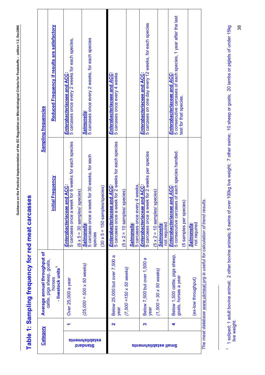<span id="page-38-0"></span>

| j                                                                                                         |
|-----------------------------------------------------------------------------------------------------------|
| I                                                                                                         |
|                                                                                                           |
|                                                                                                           |
|                                                                                                           |
| l<br>ו<br> <br> <br>ׅ֖֖֖֖֖֖֖ׅ֖֖֧֪ׅ֖֧֪֪֪ׅ֖֖֖֧֪֪֪֪֪֪֪֪֪֪֪֪֪֪֪֪֪֪֪֪֪֪֪֚֚֚֚֚֚֚֚֚֚֚֚֚֚֚֚֚֚֚֚֚֚֚֚֚֚֚֚֡֡֬֝֝֝֝֝֝֝ |
|                                                                                                           |
|                                                                                                           |
|                                                                                                           |
|                                                                                                           |
| ì<br>Í                                                                                                    |

# **Table 1: Sampling frequency for red meat carcasses**  Table 1: Sampling frequency for red meat carcasses

| Category                                |   | Average annual throughput of                              |                                                                                                                                          | <b>Sampling frequencies</b>                                                                                            |
|-----------------------------------------|---|-----------------------------------------------------------|------------------------------------------------------------------------------------------------------------------------------------------|------------------------------------------------------------------------------------------------------------------------|
|                                         |   | cattle, pigs sheep, goats,<br>- livestock units<br>horses | <b>Initial Frequency</b>                                                                                                                 | Reduced Frequency if results are satisfactory                                                                          |
|                                         |   | Over 25,000 a year                                        | week for 6 weeks for each species<br><b>Reand ACC:</b><br>$(6 \times 5 = 30$ samples/ species)<br>Enterobacteriacea<br>5 carcases once a | 5 carcases once every 2 weeks for each species,<br>Enterobacteriaceae and ACC:                                         |
| <b>establishments</b><br><b>Diabrid</b> |   | $(25,000 = 500 \times 50$ weeks)                          | week for 30 weeks, for each<br>5 carcases once a<br><u>Salmonella</u><br>species                                                         | 5 carcases once every 2 weeks, for each species<br>Salmonella:                                                         |
|                                         |   |                                                           | $(30 \times 5 = 150$ samples/species)                                                                                                    |                                                                                                                        |
|                                         | N | Below 25,000 but over 7,500 a<br>year                     | week for 2 weeks for each species<br>le and ACC:<br>Enterobacteriacea<br>5 carcases once a                                               | Enterobacteriaceae and ACC:<br>5 carcases once every 4 weeks                                                           |
|                                         |   | $(7,500 = 150 \times 50$ weeks)                           | $(5 \times 2 = 10$ samples/ species)                                                                                                     |                                                                                                                        |
|                                         |   |                                                           | 5 carcases once every 4 weeks,<br><b>Salmonella</b>                                                                                      |                                                                                                                        |
|                                         | S | Below 7,500 but over 1,500 a<br>year                      | week for 2 weeks per species<br><b>Enterobacteriaceae and ACC:</b><br>5 carcases once a                                                  | 5 carcases on one day every 12 weeks, for each species<br>Enterobacteriaceae and ACC:                                  |
| <b>Sinaminalidsize lisme</b>            |   | $(1,500 = 30 \times 50$ weeks)                            | $(5 \times 2 = 10$ samples/ species)<br>not required<br><b>Salmonella</b>                                                                |                                                                                                                        |
|                                         | 4 | Below 1,500 cattle, pigs sheep,<br>goats, horses a year   | 5 consecutive carcases of each species handled.<br>Enterobacteriaceae and ACC<br>5 samples per species)                                  | 5 consecutive carcases of each species, 1 year after the last<br>Enterobacteriaceae and ACC:<br>test for that species. |
|                                         |   | (ex-low throughput)                                       | not required<br><b>Salmonella</b>                                                                                                        |                                                                                                                        |

*The meat database [www.ukmeat.o](http://www.ukmeat.o/)rg is useful for calculation of trend results*. The meat database www.ukmeat.org is useful for calculation of trend results.

<span id="page-38-1"></span><sup>&</sup>lt;sup>1</sup> 1 soliped; 1 adult bovine animal; 2 other bovine animals; 5 swine of over 100kg live weight; 7 other swine; 10 sheep or goats; 20 lambs or piglets of under 15kg<br>live weight. 1 1 soliped; 1 adult bovine animal; 2 other bovine animals; 5 swine of over 100kg live weight; 7 other swine; 10 sheep or goats; 20 lambs or piglets of under 15kg live weight.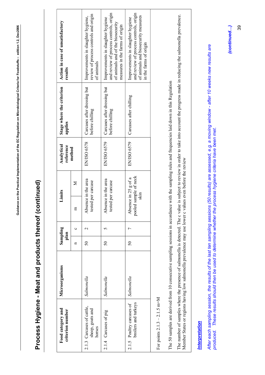# **Process Hygiene - Meat and products thereof (continued)**  Process Hygiene - Meat and products thereof (continued)

<span id="page-39-0"></span>

| Food category and<br>criterion number                   | Microorganisms | Sampling<br>plan |                 | Limits                                                   | Analytical<br>reference | Stage where the criterion<br>applies           | Action in case of unsatisfactory<br>results                                                                                                         |
|---------------------------------------------------------|----------------|------------------|-----------------|----------------------------------------------------------|-------------------------|------------------------------------------------|-----------------------------------------------------------------------------------------------------------------------------------------------------|
|                                                         |                | n                | Ò               | Σ<br>E                                                   | method                  |                                                |                                                                                                                                                     |
| 2.1.3 Carcases of cattle,<br>sheep, goats and<br>horses | Salmonella     | 50               | $\mathbf{\sim}$ | Absence in the area<br>tested per carcase                | <b>EN/ISO 6578</b>      | Carcases after dressing but<br>before chilling | review of process controls and origin<br>Improvements in slaughter hygiene,<br>of animals                                                           |
| 2.1.4 Carcases of pig                                   | Salmonella     | $\overline{50}$  |                 | Absence in the area<br>tested per carcase                | EN/ISO 6579             | Carcases after dressing but<br>before chilling | and review of process controls, origin<br>Improvements in slaughter hygiene<br>of animals and of the biosecurity<br>measures in the farms of origin |
| broilers and turkeys<br>2.1.5 Poultry carcases of       | Salmonella     | $\overline{50}$  |                 | sample of neck<br>Absence in 25 g of a<br>slan<br>pooled | EN/ISO 6579             | Carcases after chilling                        | and review of process controls, origin<br>of animals and biosecurity measures<br>Improvements in slaughter hygiene<br>in the farms of origin        |
| ピーピー ロート しょくしょく こうしょう                                   |                |                  |                 |                                                          |                         |                                                |                                                                                                                                                     |

For points  $2.1.3 - 2.1.5$  m=M For points  $2.1.3 - 2.1.5$  m=M The 50 samples are derived from 10 consecutive sampling sessions in accordance with the sampling rules and frequencies laid down in this Regulation The 50 samples are derived from 10 consecutive sampling sessions in accordance with the sampling rules and frequencies laid down in this Regulation

The number of samples where the presence of salmonella is detected. The c value is subject to review in order to take into account the progress made in reducing the salmonella prevalence. The number of samples where the presence of salmonella is detected. The c value is subject to review in order to take into account the progress made in reducing the salmonella prevalence. Member States or regions having low salmonella prevalence may use lower c values even before the review Member States or regions having low salmonella prevalence may use lower c values even before the review

## Interpretation *Interpretation*

*After each sampling session, the results of the last ten sampling sessions (50 results) are assessed, e.g. a moving window - after 10 weeks new results are*  After each sampling session, the results of the last ten sampling sessions (50 results) are assessed, e.g. a moving window - after 10 weeks new results are produced. These results should then be used to determine whether the process hygiene criteria have been met. *produced. These results should then be used to determine whether the process hygiene criteria have been met.*

*(continued…)*  (continued...) 39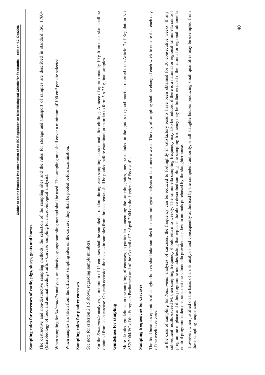| sampling sites and the rules for storage and transport of samples are described in standard ISO 17604<br>When sampling for Salmonella analyses, an abrasive sponge sampling method shall be used. The sampling area shall cover a minimum of 100 cm <sup>2</sup> per site selected.<br>(Microbiology of food and animal feeding stuffs - Carcase sampling for microbiological analysis).<br>The destructive and non-destructive sampling methods, the selection of the                                                                                                                                                                                                                                 |
|--------------------------------------------------------------------------------------------------------------------------------------------------------------------------------------------------------------------------------------------------------------------------------------------------------------------------------------------------------------------------------------------------------------------------------------------------------------------------------------------------------------------------------------------------------------------------------------------------------------------------------------------------------------------------------------------------------|
|                                                                                                                                                                                                                                                                                                                                                                                                                                                                                                                                                                                                                                                                                                        |
|                                                                                                                                                                                                                                                                                                                                                                                                                                                                                                                                                                                                                                                                                                        |
| When samples are taken from the different sampling sites on the carcase, they shall be pooled before examination.                                                                                                                                                                                                                                                                                                                                                                                                                                                                                                                                                                                      |
| Sampling rules for poultry carcases                                                                                                                                                                                                                                                                                                                                                                                                                                                                                                                                                                                                                                                                    |
| See note for criterion 2.1.5 above, regarding sample numbers.                                                                                                                                                                                                                                                                                                                                                                                                                                                                                                                                                                                                                                          |
| For the Salmonella analyses, a minimum of 15 carcases shall be sampled at random during each sampling session and after chilling. A piece of approximately 10 g from neck skin shall be<br>carcases shall be pooled before examination in order to form 5 x 25 g final samples.<br>obtained from each carcase. On each occasion the neck skin samples from three                                                                                                                                                                                                                                                                                                                                       |
| Guidelines for sampling                                                                                                                                                                                                                                                                                                                                                                                                                                                                                                                                                                                                                                                                                |
| the sampling sites, may be included in the guides to good practice referred to in Article 7 of Regulation No<br>852/2004/EC of the European Parliament and of the Council of 29 April 2004 on the Hygiene of Foodstuffs.<br>More detailed guidelines on the sampling of carcases, in particular concerning                                                                                                                                                                                                                                                                                                                                                                                             |
| Sampling frequencies for carcases                                                                                                                                                                                                                                                                                                                                                                                                                                                                                                                                                                                                                                                                      |
| The food business operators of slaughterhouses shall take samples for microbiological analysis at least once a week. The day of sampling shall be changed each week to ensure that each day<br>of the week is covered                                                                                                                                                                                                                                                                                                                                                                                                                                                                                  |
| programme in place and if this programme includes testing that replaces the above-described sampling. The sampling frequency may be further reduced if the national or regional salmonella<br>subsequent results exceed M, then sampling frequency should return to weekly. The salmonella sampling frequency may also be reduced if there is a national or regional salmonella control<br>can be reduced to fortnightly if satisfactory results have been obtained for 30 consecutive weeks. If any<br>control programme demonstrates that the salmonella prevalence is low in animals purchased by the slaughterhouse.<br>In the case of sampling for Salmonella analyses of carcases, the frequency |
| However, when justified on the basis of a risk analysis and consequently authorised by the competent authority, small slaughterhouses producing small quantities may be exempted from<br>these sampling frequencies.                                                                                                                                                                                                                                                                                                                                                                                                                                                                                   |

**Guidance on the Practical Implementation of the EC Regulation on Microbiological Criteria for Foodstuffs – edition 1.2, Dec2006** 

Guidance on the Practical Implementation of the EC Regulation on Microbiological Criteria for Foodstuffs - edition 1.2, Dec2006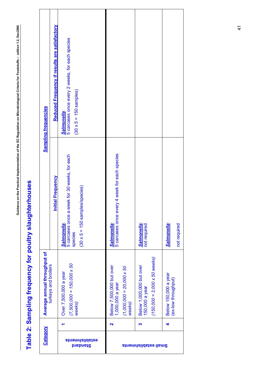<span id="page-41-0"></span>

| $\overline{\phantom{a}}$ |  |
|--------------------------|--|
|                          |  |
|                          |  |
|                          |  |
| l                        |  |
|                          |  |
| i                        |  |
|                          |  |
|                          |  |
|                          |  |
|                          |  |
|                          |  |
|                          |  |
|                          |  |
|                          |  |
|                          |  |
|                          |  |
|                          |  |
|                          |  |
|                          |  |
|                          |  |
|                          |  |
|                          |  |
|                          |  |
|                          |  |
|                          |  |
|                          |  |
|                          |  |
|                          |  |
|                          |  |
|                          |  |
|                          |  |
|                          |  |
|                          |  |
|                          |  |
|                          |  |
|                          |  |
|                          |  |
|                          |  |
|                          |  |
|                          |  |
|                          |  |
| $\overline{ }$           |  |
|                          |  |
|                          |  |
|                          |  |
|                          |  |
|                          |  |
|                          |  |
|                          |  |
|                          |  |
|                          |  |
|                          |  |
|                          |  |
|                          |  |
|                          |  |
|                          |  |
|                          |  |
|                          |  |
|                          |  |
|                          |  |
|                          |  |
|                          |  |
|                          |  |
|                          |  |
|                          |  |
|                          |  |
|                          |  |
|                          |  |
|                          |  |
|                          |  |
|                          |  |
|                          |  |
|                          |  |
|                          |  |
| てここ<br>i                 |  |

# Table 2: Sampling frequency for poultry slaughterhouses **Table 2: Sampling frequency for poultry slaughterhouses**

|                              | Reduced Frequency if results are satisfactory |                                                                                                                      |                                                                                           |                                                                                   |                                             |
|------------------------------|-----------------------------------------------|----------------------------------------------------------------------------------------------------------------------|-------------------------------------------------------------------------------------------|-----------------------------------------------------------------------------------|---------------------------------------------|
| <b>Sampling frequencies</b>  |                                               | 5 carcases once every 2 weeks, for each species<br>$(30 \times 5 = 150$ samples)<br>Salmonella:                      |                                                                                           |                                                                                   |                                             |
|                              | <b>Initial Frequency</b>                      | 5 carcases once a week for 30 weeks, for each<br>(species)<br>$(30 \times 5 = 150$ samples<br>Salmonella:<br>species | 4 week for each species<br>5 carcases once every<br>Salmonella:                           | <b>Salmonella:</b><br>not required                                                | Salmonella:<br>not required                 |
| Average annual throughput of | turkeys and broilers                          | $(7,500,000 = 150,000 \times 50$<br>Over 7,500,000 a year<br>weeks)                                                  | Below 7,500,000 but over<br>1,000,000 a year<br>$(1,000,000 = 20,000 \times 50$<br>weeks) | $(150,000 = 3,000 \times 50$ weeks)<br>Below 1,000,000 but over<br>150,000 a year | Below 150,000 a year<br>(ex-low throughput) |
| Category                     |                                               | establishments<br><b>Diabrid</b>                                                                                     | $\overline{\mathbf{r}}$                                                                   | S<br><b>Sinaminalidsize lisme</b>                                                 | 4                                           |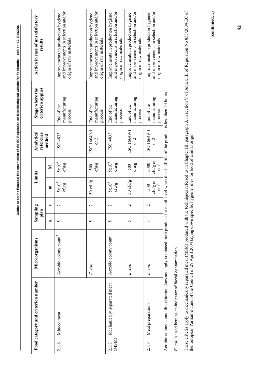<span id="page-42-0"></span>

| Action in case of unsatisfactory<br>results |                | and improvements in selection and/or<br>Improvements in production hygiene<br>origin of raw materials | and improvements in selection and/or<br>Improvements in production hygiene<br>origin of raw materials | and improvements in selection and/or<br>Improvements in production hygiene<br>origin of raw materials | and improvements in selection and/or<br>Improvements in production hygiene<br>origin of raw materials | and improvements in selection and/or<br>Improvements in production hygiene<br>origin of raw materials |
|---------------------------------------------|----------------|-------------------------------------------------------------------------------------------------------|-------------------------------------------------------------------------------------------------------|-------------------------------------------------------------------------------------------------------|-------------------------------------------------------------------------------------------------------|-------------------------------------------------------------------------------------------------------|
| criterion applies<br>Stage where the        |                | manufacturing<br>End of the<br>process                                                                | manufacturing<br>End of the<br>process                                                                | manufacturing<br>End of the<br>process                                                                | manufacturing<br>End of the<br>process                                                                | manufacturing<br>End of the<br>process                                                                |
| reference<br>Analytical                     | method         | ISO 4833                                                                                              | ISO 16649-1<br>or 2                                                                                   | ISO 4833                                                                                              | ISO 16649-1<br>or 2                                                                                   | ISO 16649-1<br>or 2                                                                                   |
|                                             | Σ              | $5x10^6$<br>ctu/g                                                                                     | ctu/g<br>500                                                                                          | $5x10^6$<br>ctu/g                                                                                     | ctu/g<br>500                                                                                          | ${\rm ch}\prime {\rm g}$ or<br>${\rm cm}^2$<br>5000                                                   |
| Limits                                      | E              | 5x10 <sup>5</sup><br>ctu/g                                                                            | $50 \text{ ch}\prime\text{g}$                                                                         | 5x10 <sup>5</sup><br>ctu/g                                                                            | 50 cfu/g                                                                                              | ${\rm ch}\prime {\rm g}$ or<br>${\rm cm}^2$<br>500                                                    |
| ā                                           | ပ              | $\mathbf 2$                                                                                           | $\mathbf{C}$                                                                                          | $\mathcal{L}$                                                                                         | $\mathbf 2$                                                                                           | 2                                                                                                     |
| Samplir<br>plan                             | $\blacksquare$ | 5                                                                                                     | 5                                                                                                     | 5                                                                                                     | 5                                                                                                     | 5                                                                                                     |
| Microorganisms                              |                | Aerobic colony count <sup>7</sup>                                                                     | E. coli                                                                                               | Aerobic colony count                                                                                  | E. coli                                                                                               | E. coli                                                                                               |
| Food category and criterion number          |                | Minced meat<br>2.1.6                                                                                  |                                                                                                       | Mechanically separated meat<br>(MSM)<br>2.1.7                                                         |                                                                                                       | Meat preparations<br>2.1.8                                                                            |

*E. coli* is used here as an indicator of faecal contamination. E. coli is used here as an indicator of faecal contamination. These criteria apply to mechanically separated meat (MSM) produced with the techniques referred to in Chapter III, paragraph 3, in section V of Annex III of Regulation No 853/2004/EC of<br>the European Parliament and of the C These criteria apply to mechanically separated meat (MSM) produced with the techniques referred to in Chapter III, paragraph 3, in section V of Annex III of Regulation No 853/2004/EC of the European Parliament and of the Council of 29 April 2004 laying down specific hygiene rules for food of animal origin.

(continued...) **(continued…)**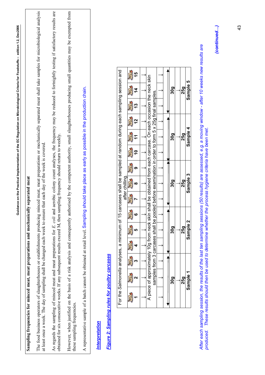# **Sampling frequencies for minced meat, meat preparations and mechanically separated meat**  Sampling frequencies for minced meat, meat preparations and mechanically separated meat

<span id="page-43-0"></span>The food business operators of slaughterhouses or establishments producing minced meat, meat preparations or mechanically separated meat shall take samples for microbiological analysis The food business operators of slaughterhouses or establishments producing minced meat, meat preparations or mechanically separated meat shall take samples for microbiological analysis at least once a week. The day of sampling shall be changed each week to ensure that each day of the week is covered. at least once a week. The day of sampling shall be changed each week to ensure that each day of the week is covered.

As regards the sampling of minced meat and meat preparations for E. coli and aerobic colony count analyses, the frequency may be reduced to fortnightly testing if satisfactory results are obtained for six consecutive weeks As regards the sampling of minced meat and meat preparations for *E. coli* and aerobic colony count analyses, the frequency may be reduced to fortnightly testing if satisfactory results are obtained for six consecutive weeks. If any subsequent results exceed M, then sampling frequency should return to weekly.

However, when justified on the basis of a risk analysis and consequently authorised by the competent authority, small slaughterhouses producing small quantities may be exempted from However, when justified on the basis of a risk analysis and consequently authorised by the competent authority, small slaughterhouses producing small quantities may be exempted from these sampling frequencies. these sampling frequencies.

A representative sample of a batch cannot be obtained at retail level. Sampling should take place as early as possible in the production chain. A representative sample of a batch cannot be obtained at retail level. Sampling should take place as early as possible in the production chain.

## Interpretation *Interpretation*

# Figure 2: Sampling rules for poultry carcases *Figure 2: Sampling rules for poultry carcases*

| analyses, a minimum of 15 carcases shall be sampled at random during each sampling session and |  |                                                                                                                              |  | 30a | 25a | Sample 5 |
|------------------------------------------------------------------------------------------------|--|------------------------------------------------------------------------------------------------------------------------------|--|-----|-----|----------|
|                                                                                                |  |                                                                                                                              |  |     |     |          |
|                                                                                                |  |                                                                                                                              |  |     |     |          |
|                                                                                                |  |                                                                                                                              |  | 30a | 25q | Sample 4 |
|                                                                                                |  |                                                                                                                              |  |     |     |          |
|                                                                                                |  |                                                                                                                              |  |     |     |          |
| after chilling.                                                                                |  | from 3 carcases shall be pooled before examination in order to form 5 x 25g final samples.                                   |  | 30a | 25q | Sample 3 |
|                                                                                                |  |                                                                                                                              |  |     |     |          |
|                                                                                                |  |                                                                                                                              |  |     |     |          |
|                                                                                                |  |                                                                                                                              |  | 30a | 25q | Sample 2 |
|                                                                                                |  |                                                                                                                              |  |     |     |          |
|                                                                                                |  |                                                                                                                              |  |     |     |          |
|                                                                                                |  | A piece of approximately 10g from neck skin shall be obtained from each carcase. On each occasion the neck skin<br>samples 1 |  | 30a | 25q | Sample   |
| For the Salmonella                                                                             |  |                                                                                                                              |  |     |     |          |

*After each sampling session, the results of the last ten sampling sessions (50 results) are assessed, e.g. a moving window - after 10 weeks new results are*  After each sampling session, the results of the last ten sampling sessions (50 results) are assessed, e.g. a moving window - after 10 weeks new results are produced. These results should then be used to determine whether the process hygiene criteria have been met. *produced. These results should then be used to determine whether the process hygiene criteria have been met.*

(continued...) *(continued…)*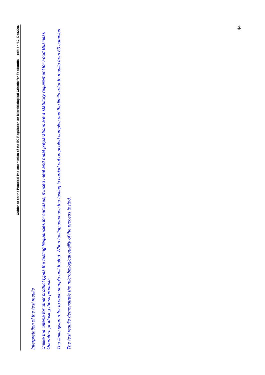## Interpretation of the test results *Interpretation of the test results*

Unlike the criteria for other product types the testing frequencies for carcases, minced meat and meat preparations are a statutory requirement for Food Business<br>Operators producing these products. *Unlike the criteria for other product types the testing frequencies for carcases, minced meat and meat preparations are a statutory requirement for Food Business Operators producing these products.* 

*The limits given refer to each sample unit tested. When testing carcases the testing is carried out on pooled samples and the limits refer to results from 50 samples.*  The limits given refer to each sample unit tested. When testing carcases the testing is carried out on pooled samples and the limits refer to results from 50 samples.

*The test results demonstrate the microbiological quality of the process tested.*  The test results demonstrate the microbiological quality of the process tested.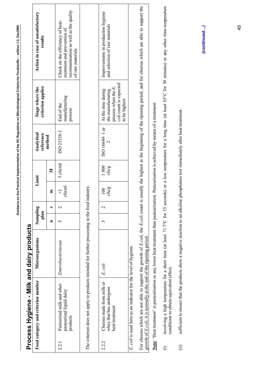<span id="page-45-0"></span>

|                    | Process Hygiene - Milk and dairy products                                                                                                                                                                                   |                    |                  |              |                           |               |                                                    |                                                                                                              |                                                                                                                                                                                  |
|--------------------|-----------------------------------------------------------------------------------------------------------------------------------------------------------------------------------------------------------------------------|--------------------|------------------|--------------|---------------------------|---------------|----------------------------------------------------|--------------------------------------------------------------------------------------------------------------|----------------------------------------------------------------------------------------------------------------------------------------------------------------------------------|
|                    | Food category and criterion number                                                                                                                                                                                          | Microorganisms     | Sampling<br>plan |              |                           | Limit         | Analytical<br>reference                            | criterion applies<br>Stage where the                                                                         | Action in case of unsatisfactory<br>results                                                                                                                                      |
|                    |                                                                                                                                                                                                                             |                    | Ξ                | ں            | E                         | Σ             | method                                             |                                                                                                              |                                                                                                                                                                                  |
| 221                | Pasteurised milk and other<br>pasteurised liquid dairy<br>products                                                                                                                                                          | Enterobacteriaceae | 5                | $\mathbf{C}$ | cfu/ml<br>$\triangledown$ | 5 cfu/ml      | ISO 21528-1                                        | manufacturing<br>End of the<br>process                                                                       | recontamination as well as the quality<br>Check on the efficiency of heat-<br>treatment and prevention of<br>of raw materials                                                    |
|                    | The criterion does not apply to products intended for further processing in the food industry.                                                                                                                              |                    |                  |              |                           |               |                                                    |                                                                                                              |                                                                                                                                                                                  |
| 2.2.2              | Cheeses made from milk or<br>whey that has undergone<br>heat treatment                                                                                                                                                      | E. coli            | 5                | $\sim$       | ${\rm chig}$<br>100       | 1000<br>ctu/g | ISO 16649-1 or                                     | coli count is expected<br>process when the $E$ .<br>At the time during<br>the manufacturing<br>to be highest | Improvements in production hygiene<br>and selection of raw materials                                                                                                             |
|                    | For cheeses which are not able to support the growth of E.coli, the E.coli count is<br>growth of E.coli, it is normally at the end of the ripening period<br>E. coli is used here as an indicator for the level of hygiene. |                    |                  |              |                           |               |                                                    |                                                                                                              | usually the highest at the beginning of the ripening period, and for cheeses which are able to support the                                                                       |
|                    | Note: 'Heat treatment' is pasteurisation or any lower heat treatment than pasteurisation. Pasteurisation is achieved by means of a treatment:                                                                               |                    |                  |              |                           |               |                                                    |                                                                                                              |                                                                                                                                                                                  |
| $\widehat{\oplus}$ | conditions to obtain equivalent effect;                                                                                                                                                                                     |                    |                  |              |                           |               |                                                    |                                                                                                              | involving a high temperature for a short time (at least 71.7°C for 15 seconds) or a low temperature for a long time (at least 63°C for 30 minutes) or any other time-temperature |
| $\hat{E}$          | sufficient to ensure that the products show a negative reaction to an alkaline                                                                                                                                              |                    |                  |              |                           |               | phosphatase test immediately after heat treatment. |                                                                                                              |                                                                                                                                                                                  |
|                    |                                                                                                                                                                                                                             |                    |                  |              |                           |               |                                                    |                                                                                                              | (continued)                                                                                                                                                                      |

**Guidance on the Practical Implementation of the EC Regulation on Microbiological Criteria for Foodstuffs – edition 1.2, Dec2006** 

Guidance on the Practical Implementation of the EC Regulation on Microbiological Criteria for Foodstuffs - edition 1.2, Dec2006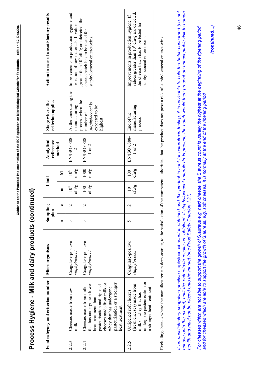<span id="page-46-0"></span>

| j<br>י<br>ו              |
|--------------------------|
| l<br>ı<br>ׇ֚֚֠֕<br>l     |
|                          |
| ï<br>ì<br>j              |
|                          |
| l<br>$\mathbf{I}$<br>I   |
|                          |
|                          |
| $\overline{\phantom{a}}$ |
| Ğü                       |

# **Process Hygiene - Milk and dairy products (continued)**  Process Hygiene - Milk and dairy products (continued)

|       | Food category and criterion number                                                                                                                                                                                  | Microorganisms                      | Samplin<br>plan | ā,                   | Limit                     |                    | Analytical<br>reference    | criterion applies<br>Stage where the                                           | Action in case of unsatisfactory results                                                                                                                                   |
|-------|---------------------------------------------------------------------------------------------------------------------------------------------------------------------------------------------------------------------|-------------------------------------|-----------------|----------------------|---------------------------|--------------------|----------------------------|--------------------------------------------------------------------------------|----------------------------------------------------------------------------------------------------------------------------------------------------------------------------|
|       |                                                                                                                                                                                                                     |                                     | Ξ               | $\ddot{\phantom{0}}$ | E                         | Σ                  | method                     |                                                                                |                                                                                                                                                                            |
| 2.2.3 | Cheeses made from raw<br>$m$ lk                                                                                                                                                                                     | Coagulase-positive<br>staphylococci | 5               | $\mathbf 2$          | cfu/g<br>$10^4$           | ctu/g<br>$10^5$    | EN/ISO 6888-<br>$\sim$     | At the time during the<br>manufacturing                                        | Improvements in production hygiene and<br>selection of raw materials. If values                                                                                            |
| 2.2.4 | cheeses made from milk or<br>pasteurisation or a stronger<br>that has undergone a lower<br>pasteurisation and ripened<br>Cheeses made from milk<br>whey that has undergone<br>heat treatment than<br>heat treatment | Coagulase-positive<br>staphylococci | 5               | 2                    | ctu/g<br>$\overline{100}$ | 1000<br>ctu/g      | EN/ISO 6888-<br>$1$ or $2$ | process when the<br>staphylococci is<br>expected to be<br>number of<br>highest | greater than 10 <sup>5</sup> cfu/g are detected, the<br>cheese batch has to be tested for<br>staphylococcal enterotoxins.                                                  |
| 2.2.5 | undergone pasteurisation or<br>(fresh cheeses) made from<br>a stronger heat treatment<br>Unripened soft cheeses<br>milk or whey that has                                                                            | Coagulase-positive<br>staphylococci |                 | $\mathbf{c}$         | ctu/g<br>$\subseteq$      | ctu/g<br>$\approx$ | EN/ISO 6888-<br>$1$ or $2$ | manufacturing<br>End of the<br>process                                         | values greater than 10 <sup>5</sup> cfu/g are detected,<br>Improvements in production hygiene. If<br>the cheese batch has to be tested for<br>staphylococcal enterotoxins. |
|       | Excluding cheeses where the manufacturer can demonstrate, to the satisfaction of the competent authorities, that the product does not pose a risk of staphylococcal enterotoxins.                                   |                                     |                 |                      |                           |                    |                            |                                                                                |                                                                                                                                                                            |

If an unsatisfactory coagulase-positive staphylococci count is obtained and the product is sent for enterotoxin testing, it is advisable to hold the batch concerned (i.e. not<br>release onto the market) until the enterotoxin *If an unsatisfactory coagulase-positive* staphylococci *count is obtained and the product is sent for enterotoxin testing, it is advisable to hold the batch concerned (i.e. not release onto the market) until the enterotoxin results are obtained. If staphylococcal enterotoxin is present, the batch would then present an unacceptable risk to human health and must not be placed onto the market (see Food Safety Criterion 1.21).* 

*For cheeses which are not able to support the growth of* S.aureus *e.g. hard cheese, the* S.aureus *count is usually the highest at the beginning of the ripening period,*  For cheeses which are not able to support the growth of S.aureus e.g. hard cheese, the S.aureus count is usually the highest at the beginning of the ripening period, *and for cheeses which are able to support the growth of* S.aureus*, e.g. soft cheeses, it is normally at the end of the ripening period.*  and for cheeses which are able to support the growth of S.aureus, e.g. soft cheeses, it is normally at the end of the ripening period.

*(continued…)*  (continued...)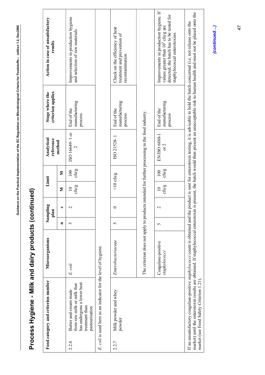|       | Food category and criterion number                                                                                             | Microorganisms                                                                                 |                | 60<br>Samplin<br>plan |                          | Limit                     | Analytical<br>reference | criterion applies<br>Stage where the   | Action in case of unsatisfactory<br>results                                                                                                                                                                                                                                                                      |  |
|-------|--------------------------------------------------------------------------------------------------------------------------------|------------------------------------------------------------------------------------------------|----------------|-----------------------|--------------------------|---------------------------|-------------------------|----------------------------------------|------------------------------------------------------------------------------------------------------------------------------------------------------------------------------------------------------------------------------------------------------------------------------------------------------------------|--|
|       |                                                                                                                                |                                                                                                | $\blacksquare$ |                       | Σ                        | Σ                         | method                  |                                        |                                                                                                                                                                                                                                                                                                                  |  |
| 2.2.6 | has undergone a lower heat<br>from raw milk or milk that<br>Butter and cream made<br>treatment than<br>pasteurisation          | E. coli                                                                                        | 5              | $\sim$                | ctu/g<br>$\overline{10}$ | ctu/g<br>$\overline{100}$ | ISO 16649-1 or          | manufacturing<br>End of the<br>process | Improvements in production hygiene<br>and selection of raw materials                                                                                                                                                                                                                                             |  |
|       | E. coli is used here as an indicator for the level of hygiene.                                                                 |                                                                                                |                |                       |                          |                           |                         |                                        |                                                                                                                                                                                                                                                                                                                  |  |
| 2.2.7 | Milk powder and whey<br>powder                                                                                                 | Enterobacteriaceae                                                                             | 5              |                       |                          | $<$ 10 cfu/g              | ISO 21528-1             | manufacturing<br>End of the<br>process | Check on the efficiency of heat<br>treatment and prevention of<br>recontamination                                                                                                                                                                                                                                |  |
|       |                                                                                                                                | The criterion does not apply to products intended for further processing in the food industry. |                |                       |                          |                           |                         |                                        |                                                                                                                                                                                                                                                                                                                  |  |
|       |                                                                                                                                | Coagulase-positive<br>staphylococci                                                            | 5              | $\sim$                | ctu/g<br>$\overline{10}$ | ctu/g<br>100              | EN/ISO 6888-1<br>or 2   | manufacturing<br>End of the<br>process | Improvements in production hygiene. If<br>detected, the batch has to be tested for<br>values greater than 10° cfu/g are<br>staphylococcal enterotoxins.                                                                                                                                                          |  |
|       | market) until the enterotoxin results are obtained. If staphylococcal enterotoxin i<br>market (see Food Safety Criterion 1.21) |                                                                                                |                |                       |                          |                           |                         |                                        | is present, the batch would then present an unacceptable risk to human health and must not be placed onto the<br>If an unsatisfactory coagulase-positive staphylococci count is obtained and the product is sent for enterotoxin testing, it is advisable to hold the batch concerned (i.e. not release onto the |  |

**Guidance on the Practical Implementation of the EC Regulation on Microbiological Criteria for Foodstuffs – edition 1.2, Dec2006** 

<span id="page-47-0"></span>Guidance on the Practical Implementation of the EC Regulation on Microbiological Criteria for Foodstuffs - edition 1.2, Dec2006

(continued...) *(continued…)*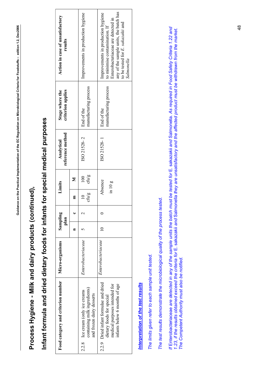# **Process Hygiene - Milk and dairy products (continued),**  Process Hygiene - Milk and dairy products (continued),

# **Infant formula and dried dietary foods for infants for special medical purposes**  Infant formula and dried dietary foods for infants for special medical purposes

<span id="page-48-0"></span>

| Enterobacteriaceae |
|--------------------|
|                    |

## Interpretation of the test results *Interpretation of the test results*

*The limits given refer to each sample unit tested.*  The limits given refer to each sample unit tested.

*The test results demonstrate the microbiological quality of the process tested.*  The test results demonstrate the microbiological quality of the process tested. If Enterobacteriaceae are detected in any of the sample units the batch must be tested for E. sakazakii and Salmonella. As required in Food Safety Criteria 1.22 and<br>1.23, if the results obtained exceed the criteria for E. *If* Enterobacteriaceae *are detected in any of the sample units the batch must be tested for* E. sakazakii *and* Salmonella*. As required in Food Safety Criteria 1.22 and 1.23, if the results obtained exceed the criteria for* E. sakazakii *and* Salmonella *they are unsatisfactory and the affected product must be withdrawn from the market. The Competent Authority must also be notified.*  The Competent Authority must also be notified.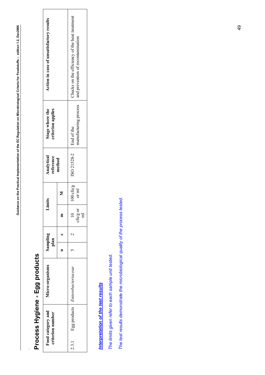# Process Hygiene - Egg products **Process Hygiene - Egg products**

.

<span id="page-49-0"></span>

## Interpretation of the test results *Interpretation of the test results*

The limits given refer to each sample unit tested. *The limits given refer to each sample unit tested.* 

The test results demonstrate the microbiological quality of the process tested. *The test results demonstrate the microbiological quality of the process tested.*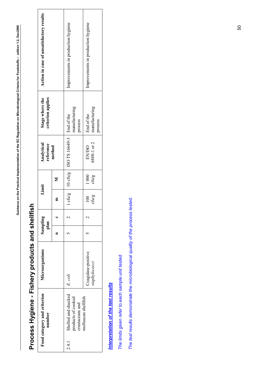<span id="page-50-0"></span>

| י                        |
|--------------------------|
|                          |
| ì                        |
| י                        |
|                          |
|                          |
|                          |
|                          |
|                          |
|                          |
| Ò                        |
| $\overline{\phantom{a}}$ |
|                          |
|                          |
|                          |
|                          |
| ١                        |
| l                        |
|                          |
|                          |
|                          |
|                          |
|                          |
|                          |
|                          |
| I<br>ׇׇ֚֚֕               |
|                          |
|                          |
|                          |
|                          |
|                          |
| l                        |
|                          |
|                          |
|                          |
|                          |
|                          |
|                          |
|                          |
|                          |
|                          |
|                          |
|                          |
|                          |
| ī<br>j<br>Ó              |

# Process Hygiene - Fishery products and shellfish **Process Hygiene - Fishery products and shellfish**

| Food category and criterion<br>number                                | Microorganisms                      | Sampling<br>plan |                           | Limit         | Analytical<br>reference                        | Stage where the<br>criterion applies   | Action in case of unsatisfactory results |
|----------------------------------------------------------------------|-------------------------------------|------------------|---------------------------|---------------|------------------------------------------------|----------------------------------------|------------------------------------------|
|                                                                      |                                     |                  | Ε                         | Σ             | method                                         |                                        |                                          |
| Shelled and shucked<br>products of cooked<br>crustaceans and<br>24.1 | E. coli                             |                  |                           |               | cfu/g   10 cfu/g   ISO TS 16649-3   End of the | manufacturing<br>process               | Improvements in production hygiene       |
| molluscan shellfish                                                  | Coagulase-positive<br>staphylococci |                  | cfu/g<br>$\overline{100}$ | 1000<br>cfu/g | 6888-1 or 2<br><b>EN/ISO</b>                   | manufacturing<br>End of the<br>process | Improvements in production hygiene       |

## Interpretation of the test results *Interpretation of the test results*

The limits given refer to each sample unit tested. *The limits given refer to each sample unit tested.*

The test results demonstrate the microbiological quality of the process tested. *The test results demonstrate the microbiological quality of the process tested.*